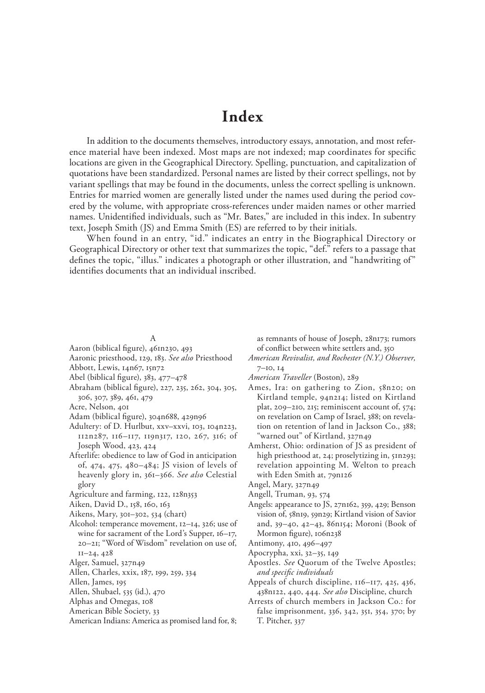# **Index**

In addition to the documents themselves, introductory essays, annotation, and most reference material have been indexed. Most maps are not indexed; map coordinates for specific locations are given in the Geographical Directory. Spelling, punctuation, and capitalization of quotations have been standardized. Personal names are listed by their correct spellings, not by variant spellings that may be found in the documents, unless the correct spelling is unknown. Entries for married women are generally listed under the names used during the period covered by the volume, with appropriate cross-references under maiden names or other married names. Unidentified individuals, such as "Mr. Bates," are included in this index. In subentry text, Joseph Smith (JS) and Emma Smith (ES) are referred to by their initials.

When found in an entry, "id." indicates an entry in the Biographical Directory or Geographical Directory or other text that summarizes the topic, "def." refers to a passage that defines the topic, "illus." indicates a photograph or other illustration, and "handwriting of" identifies documents that an individual inscribed.

### A

- Aaron (biblical figure), 461n230, 493
- Aaronic priesthood, 129, 183. *See also* Priesthood Abbott, Lewis, 14n67, 15n72
- Abel (biblical figure), 383, 477–478
- Abraham (biblical figure), 227, 235, 262, 304, 305,
- 306, 307, 389, 461, 479
- Acre, Nelson, 401
- Adam (biblical figure), 304n688, 429n96
- Adultery: of D. Hurlbut, xxv–xxvi, 103, 104n223, 112n287, 116–117, 119n317, 120, 267, 316; of Joseph Wood, 423, 424
- Afterlife: obedience to law of God in anticipation of, 474, 475, 480–484; JS vision of levels of heavenly glory in, 361–366. *See also* Celestial glory
- Agriculture and farming, 122, 128n353
- Aiken, David D., 158, 160, 163
- Aikens, Mary, 301–302, 534 (chart)
- Alcohol: temperance movement, 12–14, 326; use of wine for sacrament of the Lord's Supper, 16–17, 20–21; "Word of Wisdom" revelation on use of, 11–24, 428
- Alger, Samuel, 327n49
- Allen, Charles, xxix, 187, 199, 259, 334
- Allen, James, 195
- Allen, Shubael, 535 (id.), 470
- Alphas and Omegas, 108
- American Bible Society, 33
- American Indians: America as promised land for, 8;

as remnants of house of Joseph, 28n173; rumors of conflict between white settlers and, 350

- *American Revivalist, and Rochester (N.Y.) Observer,* 7–10, 14
- *American Traveller* (Boston), 289
- Ames, Ira: on gathering to Zion, 58n20; on Kirtland temple, 94n214; listed on Kirtland plat, 209–210, 215; reminiscent account of, 574; on revelation on Camp of Israel, 388; on revelation on retention of land in Jackson Co., 388; "warned out" of Kirtland, 327n49
- Amherst, Ohio: ordination of JS as president of high priesthood at, 24; proselytizing in, 51n293; revelation appointing M. Welton to preach with Eden Smith at, 79n126
- Angel, Mary, 327n49
- Angell, Truman, 93, 574
- Angels: appearance to JS, 27n162, 359, 429; Benson vision of, 58n19, 59n29; Kirtland vision of Savior and, 39–40, 42–43, 86n154; Moroni (Book of Mormon figure), 106n238
- Antimony, 410, 496–497
- Apocrypha, xxi, 32–35, 149
- Apostles. *See* Quorum of the Twelve Apostles; *and specific individuals*
- Appeals of church discipline, 116–117, 425, 436, 438n122, 440, 444. *See also* Discipline, church
- Arrests of church members in Jackson Co.: for false imprisonment, 336, 342, 351, 354, 370; by T. Pitcher, 337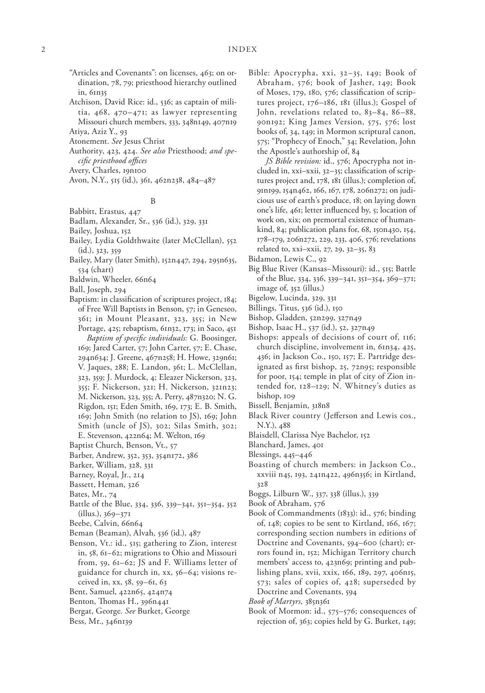- "Articles and Covenants": on licenses, 463; on ordination, 78, 79; priesthood hierarchy outlined in, 61n35
- Atchison, David Rice: id., 536; as captain of militia, 468, 470–471; as lawyer representing Missouri church members, 333, 348n149, 407n19 Atiya, Aziz Y., 93
- Atonement. *See* Jesus Christ
- Authority, 423, 424. *See also* Priesthood; *and specific priesthood offices*

Avery, Charles, 19n100

Avon, N.Y., 515 (id.), 361, 462n238, 484–487

#### B

#### Babbitt, Erastus, 447

- Badlam, Alexander, Sr., 536 (id.), 329, 331
- Bailey, Joshua, 152
- Bailey, Lydia Goldthwaite (later McClellan), 552 (id.), 323, 359
- Bailey, Mary (later Smith), 152n447, 294, 295n635, 534 (chart)

Baldwin, Wheeler, 66n64

- Ball, Joseph, 294
- Baptism: in classification of scriptures project, 184; of Free Will Baptists in Benson, 57; in Geneseo, 361; in Mount Pleasant, 323, 355; in New Portage, 425; rebaptism, 61n32, 173; in Saco, 451 *Baptism of specific individuals:* G. Boosinger, 169; Jared Carter, 57; John Carter, 57; E. Chase, 294n634; J. Greene, 467n258; H. Howe, 329n61; V. Jaques, 288; E. Landon, 361; L. McClellan, 323, 359; J. Murdock, 4; Eleazer Nickerson, 323, 355; F. Nickerson, 321; H. Nickerson, 321n23; M. Nickerson, 323, 355; A. Perry, 487n320; N. G. Rigdon, 151; Eden Smith, 169, 173; E. B. Smith, 169; John Smith (no relation to JS), 169; John Smith (uncle of JS), 302; Silas Smith, 302;
- E. Stevenson, 422n64; M. Welton, 169
- Baptist Church, Benson, Vt., 57
- Barber, Andrew, 352, 353, 354n172, 386
- Barker, William, 328, 331
- Barney, Royal, Jr., 214
- Bassett, Heman, 326
- Bates, Mr., 74
- Battle of the Blue, 334, 336, 339–341, 351–354, 352 (illus.), 369–371
- Beebe, Calvin, 66n64
- Beman (Beaman), Alvah, 536 (id.), 487
- Benson, Vt.: id., 515; gathering to Zion, interest in, 58, 61–62; migrations to Ohio and Missouri from, 59, 61–62; JS and F. Williams letter of guidance for church in, xx, 56–64; visions received in, xx, 58, 59–61, 63
- Bent, Samuel, 422n65, 424n74
- Benton, Thomas H., 396n441
- Bergat, George. *See* Burket, George
- Bess, Mr., 346n139

Bible: Apocrypha, xxi, 32–35, 149; Book of Abraham, 576; book of Jasher, 149; Book of Moses, 179, 180, 576; classification of scriptures project, 176–186, 181 (illus.); Gospel of John, revelations related to, 83-84, 86-88, 90n192; King James Version, 575, 576; lost books of, 34, 149; in Mormon scriptural canon, 575; "Prophecy of Enoch," 34; Revelation, John the Apostle's authorship of, 84

*JS Bible revision:* id., 576; Apocrypha not included in, xxi–xxii, 32–35; classification of scriptures project and, 178, 181 (illus.); completion of, 91n199, 154n462, 166, 167, 178, 206n272; on judicious use of earth's produce, 18; on laying down one's life, 461; letter influenced by, 5; location of work on, xix; on premortal existence of humankind, 84; publication plans for, 68, 150n430, 154, 178–179, 206n272, 229, 233, 406, 576; revelations related to, xxi–xxii, 27, 29, 32–35, 83

Bidamon, Lewis C., 92

- Big Blue River (Kansas–Missouri): id., 515; Battle of the Blue, 334, 336, 339–341, 351–354, 369–371; image of, 352 (illus.)
- Bigelow, Lucinda, 329, 331
- Billings, Titus, 536 (id.), 150
- Bishop, Gladden, 52n299, 327n49
- Bishop, Isaac H., 537 (id.), 52, 327n49
- Bishops: appeals of decisions of court of, 116; church discipline, involvement in, 61n34, 425, 436; in Jackson Co., 150, 157; E. Partridge designated as first bishop, 25, 72n95; responsible for poor, 154; temple in plat of city of Zion intended for, 128–129; N. Whitney's duties as bishop, 109
- Bissell, Benjamin, 318n8
- Black River country (Jefferson and Lewis cos., N.Y.), 488
- Blaisdell, Clarissa Nye Bachelor, 152
- Blanchard, James, 401
- Blessings, 445–446
- Boasting of church members: in Jackson Co., xxviii n45, 193, 241n422, 496n356; in Kirtland, 328
- Boggs, Lilburn W., 337, 338 (illus.), 339
- Book of Abraham, 576
- Book of Commandments (1833): id., 576; binding of, 148; copies to be sent to Kirtland, 166, 167; corresponding section numbers in editions of Doctrine and Covenants, 594–600 (chart); errors found in, 152; Michigan Territory church members' access to, 423n69; printing and publishing plans, xvii, xxix, 166, 189, 297, 406n15, 573; sales of copies of, 428; superseded by Doctrine and Covenants, 594
- *Book of Martyrs,* 385n361
- Book of Mormon: id., 575–576; consequences of rejection of, 363; copies held by G. Burket, 149;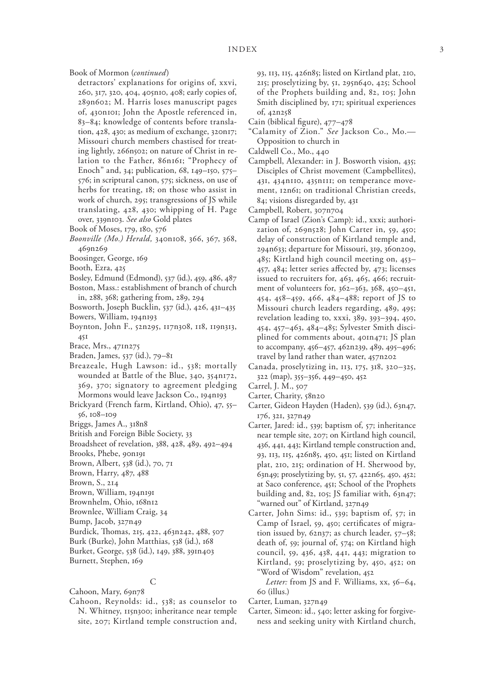Book of Mormon (*continued*)

detractors' explanations for origins of, xxvi, 260, 317, 320, 404, 405n10, 408; early copies of, 289n602; M. Harris loses manuscript pages of, 430n101; John the Apostle referenced in, 83–84; knowledge of contents before translation, 428, 430; as medium of exchange, 320n17; Missouri church members chastised for treating lightly, 266n502; on nature of Christ in relation to the Father, 86n161; "Prophecy of Enoch" and, 34; publication, 68, 149–150, 575– 576; in scriptural canon, 575; sickness, on use of herbs for treating, 18; on those who assist in work of church, 295; transgressions of JS while translating, 428, 430; whipping of H. Page over, 339n103. *See also* Gold plates

- Book of Moses, 179, 180, 576
- *Boonville (Mo.) Herald,* 340n108, 366, 367, 368, 469n269
- Boosinger, George, 169
- Booth, Ezra, 425
- Bosley, Edmund (Edmond), 537 (id.), 459, 486, 487 Boston, Mass.: establishment of branch of church

in, 288, 368; gathering from, 289, 294

- Bosworth, Joseph Bucklin, 537 (id.), 426, 431–435 Bowers, William, 194n193
- Boynton, John F., 52n295, 117n308, 118, 119n313, 451
- Brace, Mrs., 471n275
- Braden, James, 537 (id.), 79–81
- Breazeale, Hugh Lawson: id., 538; mortally wounded at Battle of the Blue, 340, 354n172, 369, 370; signatory to agreement pledging Mormons would leave Jackson Co., 194n193
- Brickyard (French farm, Kirtland, Ohio), 47, 55– 56, 108–109
- Briggs, James A., 318n8
- British and Foreign Bible Society, 33
- Broadsheet of revelation, 388, 428, 489, 492–494
- Brooks, Phebe, 90n191
- Brown, Albert, 538 (id.), 70, 71
- Brown, Harry, 487, 488
- Brown, S., 214
- Brown, William, 194n191
- Brownhelm, Ohio, 168n12
- Brownlee, William Craig, 34
- Bump, Jacob, 327n49
- Burdick, Thomas, 215, 422, 463n242, 488, 507
- Burk (Burke), John Matthias, 538 (id.), 168
- Burket, George, 538 (id.), 149, 388, 391n403
- Burnett, Stephen, 169

### C

Cahoon, Mary, 69n78

Cahoon, Reynolds: id., 538; as counselor to N. Whitney, 115n300; inheritance near temple site, 207; Kirtland temple construction and, 93, 113, 115, 426n85; listed on Kirtland plat, 210, 215; proselytizing by, 51, 295n640, 425; School of the Prophets building and, 82, 105; John Smith disciplined by, 171; spiritual experiences of, 42n258

- Cain (biblical figure), 477–478
- "Calamity of Zion." *See* Jackson Co., Mo.— Opposition to church in
- Caldwell Co., Mo., 440
- Campbell, Alexander: in J. Bosworth vision, 435; Disciples of Christ movement (Campbellites), 431, 434n110, 435n111; on temperance movement, 12n61; on traditional Christian creeds, 84; visions disregarded by, 431
- Campbell, Robert, 307n704
- Camp of Israel (Zion's Camp): id., xxxi; authorization of, 269n528; John Carter in, 59, 450; delay of construction of Kirtland temple and, 294n633; departure for Missouri, 319, 360n209, 485; Kirtland high council meeting on, 453– 457, 484; letter series affected by, 473; licenses issued to recruiters for, 463, 465, 466; recruitment of volunteers for, 362–363, 368, 450–451, 454, 458–459, 466, 484–488; report of JS to Missouri church leaders regarding, 489, 495; revelation leading to, xxxi, 389, 393–394, 450, 454, 457–463, 484–485; Sylvester Smith disciplined for comments about, 401n471; JS plan to accompany, 456–457, 462n239, 489, 495–496; travel by land rather than water, 457n202
- Canada, proselytizing in, 113, 175, 318, 320–325, 322 (map), 355–356, 449–450, 452
- Carrel, J. M., 507
- Carter, Charity, 58n20
- Carter, Gideon Hayden (Haden), 539 (id.), 63n47, 176, 321, 327n49
- Carter, Jared: id., 539; baptism of, 57; inheritance near temple site, 207; on Kirtland high council, 436, 441, 443; Kirtland temple construction and, 93, 113, 115, 426n85, 450, 451; listed on Kirtland plat, 210, 215; ordination of H. Sherwood by, 63n49; proselytizing by, 51, 57, 422n65, 450, 452; at Saco conference, 451; School of the Prophets building and, 82, 105; JS familiar with, 63n47; "warned out" of Kirtland, 327n49
- Carter, John Sims: id., 539; baptism of, 57; in Camp of Israel, 59, 450; certificates of migration issued by, 62n37; as church leader, 57–58; death of, 59; journal of, 574; on Kirtland high council, 59, 436, 438, 441, 443; migration to Kirtland, 59; proselytizing by, 450, 452; on Word of Wisdom" revelation, 452

Letter: from JS and F. Williams, xx, 56-64, 60 (illus.)

- Carter, Luman, 327n49
- Carter, Simeon: id., 540; letter asking for forgiveness and seeking unity with Kirtland church,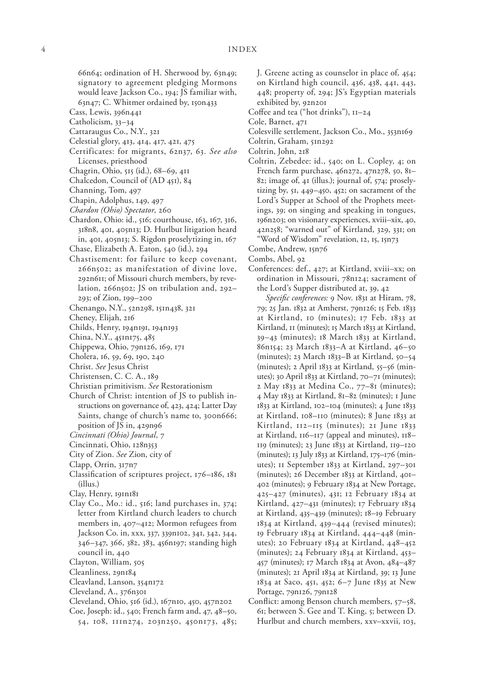66n64; ordination of H. Sherwood by, 63n49; signatory to agreement pledging Mormons would leave Jackson Co., 194; JS familiar with, 63n47; C. Whitmer ordained by, 150n433

- Cass, Lewis, 396n441
- Catholicism, 33–34
- Cattaraugus Co., N.Y., 321
- Celestial glory, 413, 414, 417, 421, 475
- Certificates: for migrants, 62n37, 63. *See also* Licenses, priesthood
- Chagrin, Ohio, 515 (id.), 68–69, 411
- Chalcedon, Council of (AD 451), 84
- Channing, Tom, 497
- Chapin, Adolphus, 149, 497
- *Chardon (Ohio) Spectator,* 260
- Chardon, Ohio: id., 516; courthouse, 163, 167, 316, 318n8, 401, 405n13; D. Hurlbut litigation heard in, 401, 405n13; S. Rigdon proselytizing in, 167
- Chase, Elizabeth A. Eaton, 540 (id.), 294
- Chastisement: for failure to keep covenant, 266n502; as manifestation of divine love, 292n611; of Missouri church members, by revelation, 266n502; JS on tribulation and, 292– 293; of Zion, 199–200
- Chenango, N.Y., 52n298, 151n438, 321
- Cheney, Elijah, 216
- Childs, Henry, 194n191, 194n193
- China, N.Y., 451n175, 485
- Chippewa, Ohio, 79n126, 169, 171
- Cholera, 16, 59, 69, 190, 240
- Christ. *See* Jesus Christ
- Christensen, C. C. A., 189
- Christian primitivism. *See* Restorationism
- Church of Christ: intention of JS to publish instructions on governance of, 423, 424; Latter Day Saints, change of church's name to, 300n666; position of JS in, 429n96
- *Cincinnati (Ohio) Journal,* 7
- Cincinnati, Ohio, 128n353
- City of Zion. *See* Zion, city of
- Clapp, Orrin, 317n7
- Classification of scriptures project, 176–186, 181 (illus.)
- Clay, Henry, 191n181
- Clay Co., Mo.: id., 516; land purchases in, 374; letter from Kirtland church leaders to church members in, 407–412; Mormon refugees from Jackson Co. in, xxx, 337, 339n102, 341, 342, 344, 346–347, 366, 382, 383, 456n197; standing high council in, 440
- Clayton, William, 505
- Cleanliness, 29n184
- Cleavland, Lanson, 354n172
- Cleveland, A., 376n301
- Cleveland, Ohio, 516 (id.), 167n10, 450, 457n202
- Coe, Joseph: id., 540; French farm and, 47, 48–50, 54, 108, 111n274, 203n250, 450n173, 485;
- J. Greene acting as counselor in place of, 454; on Kirtland high council, 436, 438, 441, 443, 448; property of, 294; JS's Egyptian materials exhibited by, 92n201
- Coffee and tea ("hot drinks"), 11–24
- Cole, Barnet, 471
- Colesville settlement, Jackson Co., Mo., 353n169
- Coltrin, Graham, 51n292
- Coltrin, John, 218
- Coltrin, Zebedee: id., 540; on L. Copley, 4; on French farm purchase, 46n272, 47n278, 50, 81– 82; image of, 41 (illus.); journal of, 574; proselytizing by, 51, 449–450, 452; on sacrament of the Lord's Supper at School of the Prophets meetings, 39; on singing and speaking in tongues, 196n203; on visionary experiences, xviii–xix, 40, 42n258; "warned out" of Kirtland, 329, 331; on "Word of Wisdom" revelation, 12, 15, 15n73
- Combe, Andrew, 15n76
- Combs, Abel, 92
- Conferences: def., 427; at Kirtland, xviii–xx; on ordination in Missouri, 78n124; sacrament of the Lord's Supper distributed at, 39, 42
	- *Specific conferences:* 9 Nov. 1831 at Hiram, 78, 79; 25 Jan. 1832 at Amherst, 79n126; 15 Feb. 1833 at Kirtland, 10 (minutes); 17 Feb. 1833 at Kirtland, 11 (minutes); 15 March 1833 at Kirtland, 39–43 (minutes); 18 March 1833 at Kirtland, 86n154; 23 March 1833–A at Kirtland, 46–50 (minutes); 23 March 1833–B at Kirtland, 50–54 (minutes); 2 April 1833 at Kirtland, 55–56 (minutes); 30 April 1833 at Kirtland, 70–71 (minutes); 2 May 1833 at Medina Co., 77–81 (minutes); 4 May 1833 at Kirtland, 81–82 (minutes); 1 June 1833 at Kirtland, 102–104 (minutes); 4 June 1833 at Kirtland, 108–110 (minutes); 8 June 1833 at Kirtland, 112–115 (minutes); 21 June 1833 at Kirtland, 116–117 (appeal and minutes), 118– 119 (minutes); 23 June 1833 at Kirtland, 119–120 (minutes); 13 July 1833 at Kirtland, 175–176 (minutes); 11 September 1833 at Kirtland, 297–301 (minutes); 26 December 1833 at Kirtland, 401– 402 (minutes); 9 February 1834 at New Portage, 425–427 (minutes), 431; 12 February 1834 at Kirtland, 427–431 (minutes); 17 February 1834 at Kirtland, 435–439 (minutes); 18–19 February 1834 at Kirtland, 439–444 (revised minutes); 19 February 1834 at Kirtland, 444–448 (minutes); 20 February 1834 at Kirtland, 448–452 (minutes); 24 February 1834 at Kirtland, 453– 457 (minutes); 17 March 1834 at Avon, 484–487 (minutes); 21 April 1834 at Kirtland, 39; 13 June 1834 at Saco, 451, 452; 6–7 June 1835 at New Portage, 79n126, 79n128
- Conflict: among Benson church members, 57–58, 61; between S. Gee and T. King, 5; between D. Hurlbut and church members, xxv–xxvii, 103,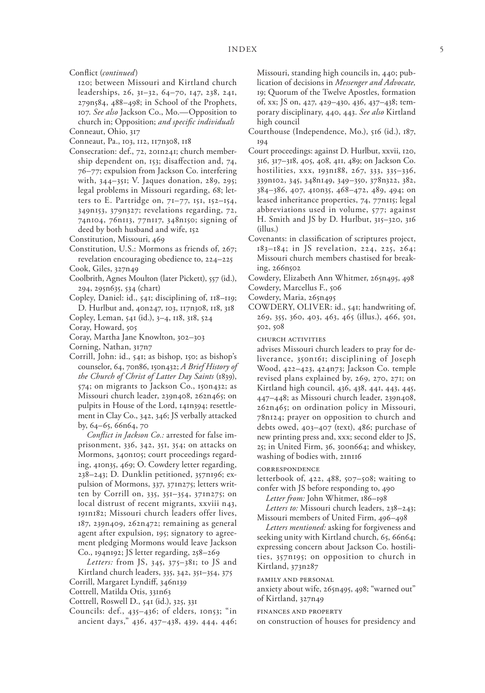Conflict (*continued*)

120; between Missouri and Kirtland church leaderships, 26, 31–32, 64–70, 147, 238, 241, 279n584, 488–498; in School of the Prophets, 107. *See also* Jackson Co., Mo.—Opposition to church in; Opposition; *and specific individuals*

Conneaut, Ohio, 317

- Conneaut, Pa., 103, 112, 117n308, 118
- Consecration: def., 72, 201n241; church membership dependent on, 153; disaffection and, 74, 76–77; expulsion from Jackson Co. interfering with, 344–351; V. Jaques donation, 289, 295; legal problems in Missouri regarding, 68; letters to E. Partridge on, 71–77, 151, 152–154, 349n153, 379n327; revelations regarding, 72, 74n104, 76n113, 77n117, 348n150; signing of deed by both husband and wife, 152
- Constitution, Missouri, 469
- Constitution, U.S.: Mormons as friends of, 267; revelation encouraging obedience to, 224–225
- Cook, Giles, 327n49
- Coolbrith, Agnes Moulton (later Pickett), 557 (id.), 294, 295n635, 534 (chart)
- Copley, Daniel: id., 541; disciplining of, 118–119; D. Hurlbut and, 40n247, 103, 117n308, 118, 318
- Copley, Leman, 541 (id.), 3–4, 118, 318, 524
- Coray, Howard, 505
- Coray, Martha Jane Knowlton, 302–303
- Corning, Nathan, 317n7
- Corrill, John: id., 541; as bishop, 150; as bishop's counselor, 64, 70n86, 150n432; *A Brief History of the Church of Christ of Latter Day Saints* (1839), 574; on migrants to Jackson Co., 150n432; as Missouri church leader, 239n408, 262n465; on pulpits in House of the Lord, 141n394; resettlement in Clay Co., 342, 346; JS verbally attacked by, 64–65, 66n64, 70

*Conflict in Jackson Co.:* arrested for false imprisonment, 336, 342, 351, 354; on attacks on Mormons, 340n105; court proceedings regarding, 410n35, 469; O. Cowdery letter regarding, 238–243; D. Dunklin petitioned, 357n196; expulsion of Mormons, 337, 371n275; letters written by Corrill on, 335, 351–354, 371n275; on local distrust of recent migrants, xxviii n43, 191n182; Missouri church leaders offer lives, 187, 239n409, 262n472; remaining as general agent after expulsion, 195; signatory to agreement pledging Mormons would leave Jackson Co., 194n192; JS letter regarding, 258–269

*Letters:* from JS, 345, 375–381; to JS and Kirtland church leaders, 335, 342, 351–354, 375 Corrill, Margaret Lyndiff, 346n139

- Cottrell, Matilda Otis, 331n63
- Cottrell, Roswell D., 541 (id.), 325, 331
- Councils: def., 435–436; of elders, 10n53; "in ancient days," 436, 437–438, 439, 444, 446;

Missouri, standing high councils in, 440; publication of decisions in *Messenger and Advocate,* 19; Quorum of the Twelve Apostles, formation of, xx; JS on, 427, 429–430, 436, 437–438; temporary disciplinary, 440, 443. *See also* Kirtland high council

- Courthouse (Independence, Mo.), 516 (id.), 187, 194
- Court proceedings: against D. Hurlbut, xxvii, 120, 316, 317–318, 405, 408, 411, 489; on Jackson Co. hostilities, xxx, 193n188, 267, 333, 335–336, 339n102, 345, 348n149, 349–350, 378n322, 382, 384–386, 407, 410n35, 468–472, 489, 494; on leased inheritance properties, 74, 77n115; legal abbreviations used in volume, 577; against H. Smith and JS by D. Hurlbut, 315–320, 316 (illus.)
- Covenants: in classification of scriptures project, 183–184; in JS revelation, 224, 225, 264; Missouri church members chastised for breaking, 266n502
- Cowdery, Elizabeth Ann Whitmer, 265n495, 498 Cowdery, Marcellus F., 506
- Cowdery, Maria, 265n495
- 
- COWDERY, OLIVER: id., 541; handwriting of, 269, 355, 360, 403, 463, 465 (illus.), 466, 501, 502, 508

church activities

advises Missouri church leaders to pray for deliverance, 350n161; disciplining of Joseph Wood, 422–423, 424n73; Jackson Co. temple revised plans explained by, 269, 270, 271; on Kirtland high council, 436, 438, 441, 443, 445, 447–448; as Missouri church leader, 239n408, 262n465; on ordination policy in Missouri, 78n124; prayer on opposition to church and debts owed, 403–407 (text), 486; purchase of new printing press and, xxx; second elder to JS, 25; in United Firm, 36, 300n664; and whiskey, washing of bodies with, 21n116

correspondence

letterbook of, 422, 488, 507–508; waiting to confer with JS before responding to, 490

*Letter from:* John Whitmer, 186–198

*Letters to:* Missouri church leaders, 238–243; Missouri members of United Firm, 496–498

*Letters mentioned:* asking for forgiveness and seeking unity with Kirtland church, 65, 66n64; expressing concern about Jackson Co. hostilities, 357n195; on opposition to church in Kirtland, 373n287

family and personal

anxiety about wife, 265n495, 498; "warned out" of Kirtland, 327n49

finances and property

on construction of houses for presidency and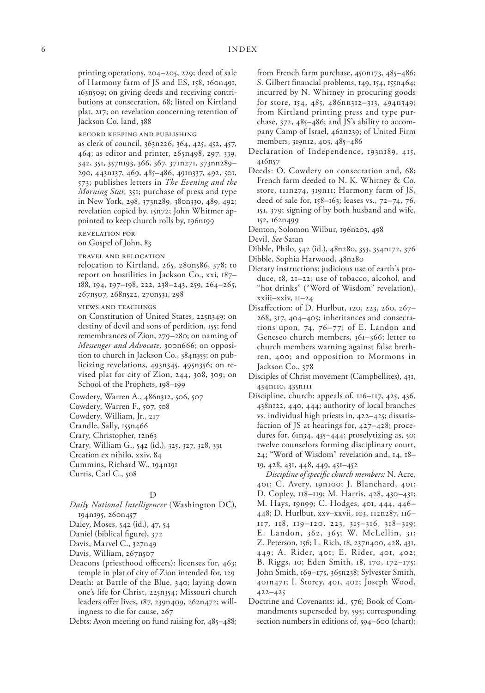printing operations, 204–205, 229; deed of sale of Harmony farm of JS and ES, 158, 160n491, 163n509; on giving deeds and receiving contributions at consecration, 68; listed on Kirtland plat, 217; on revelation concerning retention of Jackson Co. land, 388

record keeping and publishing

as clerk of council, 363n226, 364, 425, 452, 457, 464; as editor and printer, 265n498, 297, 339, 342, 351, 357n193, 366, 367, 371n271, 373nn289– 290, 443n137, 469, 485–486, 491n337, 492, 501, 573; publishes letters in *The Evening and the Morning Star,* 351; purchase of press and type in New York, 298, 373n289, 380n330, 489, 492; revelation copied by, 15n72; John Whitmer appointed to keep church rolls by, 196n199

revelation for

on Gospel of John, 83

travel and relocation

relocation to Kirtland, 265, 280n586, 378; to report on hostilities in Jackson Co., xxi, 187– 188, 194, 197–198, 222, 238–243, 259, 264–265, 267n507, 268n522, 270n531, 298

- views and teachings
- on Constitution of United States, 225n349; on destiny of devil and sons of perdition, 155; fond remembrances of Zion, 279–280; on naming of *Messenger and Advocate,* 300n666; on opposition to church in Jackson Co., 384n355; on publicizing revelations, 493n345, 495n356; on revised plat for city of Zion, 244, 308, 309; on School of the Prophets, 198–199

Cowdery, Warren A., 486n312, 506, 507

Cowdery, Warren F., 507, 508

Cowdery, William, Jr., 217

Crandle, Sally, 155n466

Crary, Christopher, 12n63

Crary, William G., 542 (id.), 325, 327, 328, 331

Creation ex nihilo, xxiv, 84

Cummins, Richard W., 194n191

Curtis, Carl C., 508

### D

*Daily National Intelligencer* (Washington DC),

194n195, 260n457

Daley, Moses, 542 (id.), 47, 54

Daniel (biblical figure), 372

Davis, Marvel C., 327n49

Davis, William, 267n507

- Deacons (priesthood officers): licenses for, 463; temple in plat of city of Zion intended for, 129
- Death: at Battle of the Blue, 340; laying down one's life for Christ, 225n354; Missouri church leaders offer lives, 187, 239n409, 262n472; willingness to die for cause, 267

Debts: Avon meeting on fund raising for, 485–488;

from French farm purchase, 450n173, 485–486; S. Gilbert financial problems, 149, 154, 155n464; incurred by N. Whitney in procuring goods for store, 154, 485, 486nn312–313, 494n349; from Kirtland printing press and type purchase,  $372$ ,  $485-486$ ; and JS's ability to accompany Camp of Israel, 462n239; of United Firm members, 319n12, 403, 485–486

- Declaration of Independence, 193n189, 415, 416n57
- Deeds: O. Cowdery on consecration and, 68; French farm deeded to N. K. Whitney & Co. store, 111n274, 319n11; Harmony farm of JS, deed of sale for, 158–163; leases vs., 72–74, 76, 151, 379; signing of by both husband and wife, 152, 162n499
- Denton, Solomon Wilbur, 196n203, 498

Devil. *See* Satan

- Dibble, Philo, 542 (id.), 48n280, 353, 354n172, 376 Dibble, Sophia Harwood, 48n280
- Dietary instructions: judicious use of earth's produce, 18, 21–22; use of tobacco, alcohol, and "hot drinks" ("Word of Wisdom" revelation), xxiii–xxiv, 11–24
- Disaffection: of D. Hurlbut, 120, 223, 260, 267– 268, 317, 404–405; inheritances and consecrations upon, 74, 76–77; of E. Landon and Geneseo church members, 361–366; letter to church members warning against false brethren, 400; and opposition to Mormons in Jackson Co., 378
- Disciples of Christ movement (Campbellites), 431, 434n110, 435n111
- Discipline, church: appeals of, 116–117, 425, 436, 438n122, 440, 444; authority of local branches vs. individual high priests in, 422–425; dissatisfaction of JS at hearings for, 427–428; procedures for, 61n34, 435–444; proselytizing as, 50; twelve counselors forming disciplinary court, 24; "Word of Wisdom" revelation and, 14, 18– 19, 428, 431, 448, 449, 451–452

*Discipline of specific church members:* N. Acre, 401; C. Avery, 19n100; J. Blanchard, 401; D. Copley, 118–119; M. Harris, 428, 430–431; M. Hays, 19n99; C. Hodges, 401, 444, 446– 448; D. Hurlbut, xxv–xxvii, 103, 112n287, 116– 117, 118, 119–120, 223, 315–316, 318–319; E. Landon, 362, 365; W. McLellin, 31; Z. Peterson, 156; L. Rich, 18, 237n400, 428, 431, 449; A. Rider, 401; E. Rider, 401, 402; B. Riggs, 10; Eden Smith, 18, 170, 172–175; John Smith, 169–175, 365n238; Sylvester Smith, 401n471; I. Storey, 401, 402; Joseph Wood, 422–425

Doctrine and Covenants: id., 576; Book of Commandments superseded by, 595; corresponding section numbers in editions of, 594–600 (chart);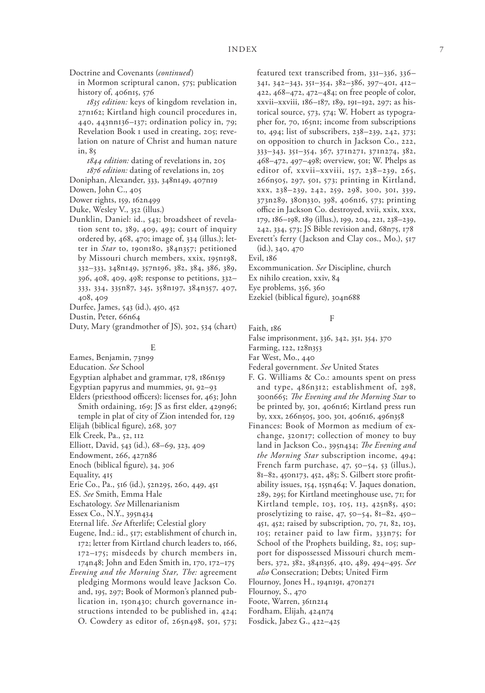Doctrine and Covenants (*continued*)

in Mormon scriptural canon, 575; publication history of, 406n15, 576

*1835 edition:* keys of kingdom revelation in, 27n162; Kirtland high council procedures in, 440, 443nn136–137; ordination policy in, 79; Revelation Book 1 used in creating, 205; revelation on nature of Christ and human nature in, 85

*1844 edition:* dating of revelations in, 205 *1876 edition:* dating of revelations in, 205

- Doniphan, Alexander, 333, 348n149, 407n19
- Dowen, John C., 405

Dower rights, 159, 162n499

Duke, Wesley V., 352 (illus.)

- Dunklin, Daniel: id., 543; broadsheet of revelation sent to, 389, 409, 493; court of inquiry ordered by, 468, 470; image of, 334 (illus.); letter in *Star* to, 190n180, 384n357; petitioned by Missouri church members, xxix, 195n198, 332–333, 348n149, 357n196, 382, 384, 386, 389, 396, 408, 409, 498; response to petitions, 332– 333, 334, 335n87, 345, 358n197, 384n357, 407, 408, 409
- Durfee, James, 543 (id.), 450, 452
- Dustin, Peter, 66n64
- Duty, Mary (grandmother of JS), 302, 534 (chart)

#### E

Eames, Benjamin, 73n99

Education. *See* School

Egyptian alphabet and grammar, 178, 186n159

Egyptian papyrus and mummies, 91, 92–93

- Elders (priesthood officers): licenses for, 463; John Smith ordaining, 169; JS as first elder, 429n96; temple in plat of city of Zion intended for, 129
- Elijah (biblical figure), 268, 307
- Elk Creek, Pa., 52, 112
- Elliott, David, 543 (id.), 68–69, 323, 409
- Endowment, 266, 427n86
- Enoch (biblical figure), 34, 306
- Equality, 415
- Erie Co., Pa., 516 (id.), 52n295, 260, 449, 451
- ES. *See* Smith, Emma Hale
- Eschatology. *See* Millenarianism
- Essex Co., N.Y., 395n434
- Eternal life. *See* Afterlife; Celestial glory
- Eugene, Ind.: id., 517; establishment of church in, 172; letter from Kirtland church leaders to, 166, 172–175; misdeeds by church members in,
- 174n48; John and Eden Smith in, 170, 172–175 *Evening and the Morning Star, The:* agreement pledging Mormons would leave Jackson Co. and, 195, 297; Book of Mormon's planned publication in, 150n430; church governance instructions intended to be published in, 424; O. Cowdery as editor of, 265n498, 501, 573;

featured text transcribed from, 331–336, 336– 341, 342–343, 351–354, 382–386, 397–401, 412– 422, 468–472, 472–484; on free people of color, xxvii–xxviii, 186–187, 189, 191–192, 297; as historical source, 573, 574; W. Hobert as typographer for, 70, 165n1; income from subscriptions to, 494; list of subscribers, 238–239, 242, 373; on opposition to church in Jackson Co., 222, 333–343, 351–354, 367, 371n271, 371n274, 382, 468–472, 497–498; overview, 501; W. Phelps as editor of, xxvii–xxviii, 157, 238–239, 265, 266n505, 297, 501, 573; printing in Kirtland, xxx, 238–239, 242, 259, 298, 300, 301, 339, 373n289, 380n330, 398, 406n16, 573; printing office in Jackson Co. destroyed, xvii, xxix, xxx, 179, 186–198, 189 (illus.), 199, 204, 221, 238–239, 242, 334, 573; JS Bible revision and, 68n75, 178 Everett's ferry (Jackson and Clay cos., Mo.), 517

(id.), 340, 470

Evil, 186

Faith, 186

- Excommunication. *See* Discipline, church
- Ex nihilo creation, xxiv, 84
- Eye problems, 356, 360
- Ezekiel (biblical figure), 304n688

## F

- False imprisonment, 336, 342, 351, 354, 370
- Farming, 122, 128n353
- Far West, Mo., 440
- Federal government. *See* United States
- F. G. Williams & Co.: amounts spent on press and type, 486n312; establishment of, 298, 300n665; *The Evening and the Morning Star* to be printed by, 301, 406n16; Kirtland press run by, xxx, 266n505, 300, 301, 406n16, 496n358
- Finances: Book of Mormon as medium of exchange, 320n17; collection of money to buy land in Jackson Co., 395n434; *The Evening and the Morning Star* subscription income, 494; French farm purchase, 47, 50–54, 53 (illus.), 81–82, 450n173, 452, 485; S. Gilbert store profitability issues, 154, 155n464; V. Jaques donation, 289, 295; for Kirtland meetinghouse use, 71; for Kirtland temple, 103, 105, 113, 425n85, 450; proselytizing to raise, 47, 50–54, 81–82, 450– 451, 452; raised by subscription, 70, 71, 82, 103, 105; retainer paid to law firm, 333n75; for School of the Prophets building, 82, 105; support for dispossessed Missouri church members, 372, 382, 384n356, 410, 489, 494–495. *See also* Consecration; Debts; United Firm
- Flournoy, Jones H., 194n191, 470n271
- Flournoy, S., 470
- Foote, Warren, 361n214
- Fordham, Elijah, 424n74
- Fosdick, Jabez G., 422–425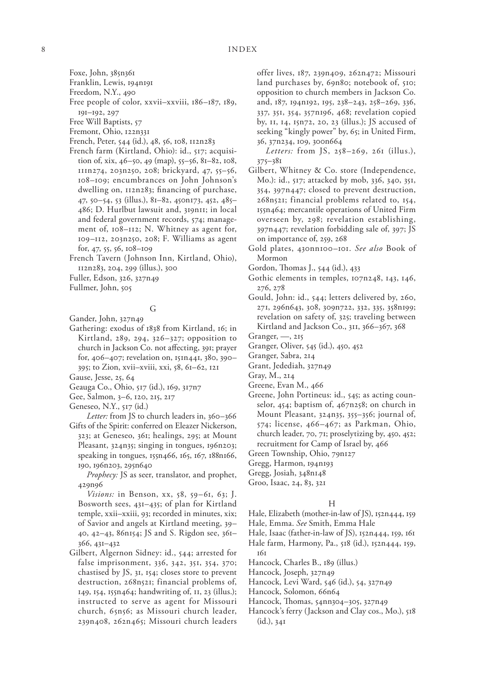Foxe, John, 385n361

- Franklin, Lewis, 194n191
- Freedom, N.Y., 490
- Free people of color, xxvii–xxviii, 186–187, 189, 191–192, 297
- Free Will Baptists, 57
- Fremont, Ohio, 122n331
- French, Peter, 544 (id.), 48, 56, 108, 112n283
- French farm (Kirtland, Ohio): id., 517; acquisition of, xix, 46–50, 49 (map), 55–56, 81–82, 108, 111n274, 203n250, 208; brickyard, 47, 55–56, 108–109; encumbrances on John Johnson's dwelling on, 112n283; financing of purchase, 47, 50–54, 53 (illus.), 81–82, 450n173, 452, 485– 486; D. Hurlbut lawsuit and, 319n11; in local and federal government records, 574; management of, 108–112; N. Whitney as agent for, 109–112, 203n250, 208; F. Williams as agent for, 47, 55, 56, 108–109
- French Tavern (Johnson Inn, Kirtland, Ohio), 112n283, 204, 299 (illus.), 300

Fuller, Edson, 326, 327n49

Fullmer, John, 505

### G

Gander, John, 327n49

Gathering: exodus of 1838 from Kirtland, 16; in Kirtland, 289, 294, 326–327; opposition to church in Jackson Co. not affecting, 391; prayer for, 406–407; revelation on, 151n441, 380, 390– 395; to Zion, xvii–xviii, xxi, 58, 61–62, 121

Gause, Jesse, 25, 64

- Geauga Co., Ohio, 517 (id.), 169, 317n7
- Gee, Salmon, 3–6, 120, 215, 217

Geneseo, N.Y., 517 (id.)

*Letter:* from JS to church leaders in, 360–366 Gifts of the Spirit: conferred on Eleazer Nickerson, 323; at Geneseo, 361; healings, 295; at Mount Pleasant, 324n35; singing in tongues, 196n203; speaking in tongues, 155n466, 165, 167, 188n166, 190, 196n203, 295n640

*Prophecy:* JS as seer, translator, and prophet, 429n96

*Visions:* in Benson, xx, 58, 59–61, 63; J. Bosworth sees, 431–435; of plan for Kirtland temple, xxii–xxiii, 93; recorded in minutes, xix; of Savior and angels at Kirtland meeting, 39– 40, 42–43, 86n154; JS and S. Rigdon see, 361– 366, 431–432

Gilbert, Algernon Sidney: id., 544; arrested for false imprisonment, 336, 342, 351, 354, 370; chastised by JS, 31, 154; closes store to prevent destruction, 268n521; financial problems of, 149, 154, 155n464; handwriting of, 11, 23 (illus.); instructed to serve as agent for Missouri church, 65n56; as Missouri church leader, 239n408, 262n465; Missouri church leaders offer lives, 187, 239n409, 262n472; Missouri land purchases by, 69n80; notebook of, 510; opposition to church members in Jackson Co. and, 187, 194n192, 195, 238–243, 258–269, 336, 337, 351, 354, 357n196, 468; revelation copied by, 11, 14, 15n72, 20, 23 (illus.); JS accused of seeking "kingly power" by, 65; in United Firm, 36, 37n234, 109, 300n664

*Letters:* from JS, 258–269, 261 (illus.), 375–381

- Gilbert, Whitney & Co. store (Independence, Mo.): id., 517; attacked by mob, 336, 340, 351, 354, 397n447; closed to prevent destruction, 268n521; financial problems related to, 154, 155n464; mercantile operations of United Firm overseen by, 298; revelation establishing, 397n447; revelation forbidding sale of, 397; JS on importance of, 259, 268
- Gold plates, 430nn100–101. *See also* Book of Mormon
- Gordon, Thomas J., 544 (id.), 433
- Gothic elements in temples, 107n248, 143, 146, 276, 278
- Gould, John: id., 544; letters delivered by, 260, 271, 296n643, 308, 309n722, 332, 335, 358n199; revelation on safety of, 325; traveling between Kirtland and Jackson Co., 311, 366–367, 368
- Granger, —, 215
- Granger, Oliver, 545 (id.), 450, 452
- Granger, Sabra, 214
- Grant, Jedediah, 327n49
- Gray, M., 214

Greene, Evan M., 466

- Greene, John Portineus: id., 545; as acting counselor, 454; baptism of, 467n258; on church in Mount Pleasant, 324n35, 355–356; journal of, 574; license, 466–467; as Parkman, Ohio, church leader, 70, 71; proselytizing by, 450, 452; recruitment for Camp of Israel by, 466
- Green Township, Ohio, 79n127
- Gregg, Harmon, 194n193
- Gregg, Josiah, 348n148
- Groo, Isaac, 24, 83, 321

#### H

- Hale, Elizabeth (mother-in-law of JS), 152n444, 159
- Hale, Emma. *See* Smith, Emma Hale
- Hale, Isaac (father-in-law of JS), 152n444, 159, 161
- Hale farm, Harmony, Pa., 518 (id.), 152n444, 159, 161
- Hancock, Charles B., 189 (illus.)
- Hancock, Joseph, 327n49
- Hancock, Levi Ward, 546 (id.), 54, 327n49
- Hancock, Solomon, 66n64
- Hancock, Thomas, 54nn304–305, 327n49
- Hancock's ferry (Jackson and Clay cos., Mo.), 518 (id.), 341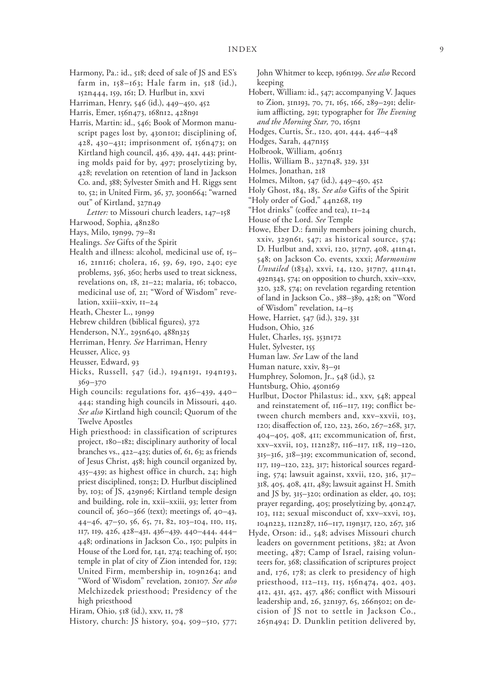- Harmony, Pa.: id., 518; deed of sale of JS and ES's farm in, 158–163; Hale farm in, 518 (id.), 152n444, 159, 161; D. Hurlbut in, xxvi
- Harriman, Henry, 546 (id.), 449–450, 452

Harris, Emer, 156n473, 168n12, 428n91

Harris, Martin: id., 546; Book of Mormon manuscript pages lost by, 430n101; disciplining of, 428, 430–431; imprisonment of, 156n473; on Kirtland high council, 436, 439, 441, 443; printing molds paid for by, 497; proselytizing by, 428; revelation on retention of land in Jackson Co. and, 388; Sylvester Smith and H. Riggs sent to, 52; in United Firm, 36, 37, 300n664; "warned out" of Kirtland, 327n49

*Letter:* to Missouri church leaders, 147–158

- Harwood, Sophia, 48n280
- Hays, Milo, 19n99, 79–81
- Healings. *See* Gifts of the Spirit
- Health and illness: alcohol, medicinal use of, 15– 16, 21n116; cholera, 16, 59, 69, 190, 240; eye problems, 356, 360; herbs used to treat sickness, revelations on, 18, 21–22; malaria, 16; tobacco, medicinal use of, 21; "Word of Wisdom" revelation, xxiii–xxiv, 11–24
- Heath, Chester L., 19n99
- Hebrew children (biblical figures), 372
- Henderson, N.Y., 295n640, 488n325
- Herriman, Henry. *See* Harriman, Henry
- Heusser, Alice, 93
- Heusser, Edward, 93
- Hicks, Russell, 547 (id.), 194n191, 194n193, 369–370
- High councils: regulations for, 436–439, 440– 444; standing high councils in Missouri, 440. *See also* Kirtland high council; Quorum of the Twelve Apostles
- High priesthood: in classification of scriptures project, 180–182; disciplinary authority of local branches vs., 422–425; duties of, 61, 63; as friends of Jesus Christ, 458; high council organized by, 435–439; as highest office in church, 24; high priest disciplined, 10n52; D. Hurlbut disciplined by, 103; of JS, 429n96; Kirtland temple design and building, role in, xxii–xxiii, 93; letter from council of, 360–366 (text); meetings of, 40–43, 44–46, 47–50, 56, 65, 71, 82, 103–104, 110, 115, 117, 119, 426, 428–431, 436–439, 440–444, 444– 448; ordinations in Jackson Co., 150; pulpits in House of the Lord for, 141, 274; teaching of, 150; temple in plat of city of Zion intended for, 129; United Firm, membership in, 109n264; and "Word of Wisdom" revelation, 20n107. *See also* Melchizedek priesthood; Presidency of the high priesthood

Hiram, Ohio, 518 (id.), xxv, 11, 78

History, church: JS history, 504, 509–510, 577;

John Whitmer to keep, 196n199. *See also* Record keeping

Hobert, William: id., 547; accompanying V. Jaques to Zion, 31n193, 70, 71, 165, 166, 289–291; delirium afflicting, 291; typographer for *The Evening and the Morning Star,* 70, 165n1

Hodges, Curtis, Sr., 120, 401, 444, 446–448

- Hodges, Sarah, 447n155
- Holbrook, William, 406n13
- Hollis, William B., 327n48, 329, 331
- Holmes, Jonathan, 218
- Holmes, Milton, 547 (id.), 449–450, 452
- Holy Ghost, 184, 185. *See also* Gifts of the Spirit
- "Holy order of God," 44n268, 119
- "Hot drinks" (coffee and tea), 11–24
- House of the Lord. *See* Temple
- Howe, Eber D.: family members joining church, xxiv, 329n61, 547; as historical source, 574; D. Hurlbut and, xxvi, 120, 317n7, 408, 411n41, 548; on Jackson Co. events, xxxi; *Mormonism Unvailed* (1834), xxvi, 14, 120, 317n7, 411n41, 492n343, 574; on opposition to church, xxiv–xxv, 320, 328, 574; on revelation regarding retention of land in Jackson Co., 388–389, 428; on "Word of Wisdom" revelation, 14–15
- Howe, Harriet, 547 (id.), 329, 331
- Hudson, Ohio, 326
- Hulet, Charles, 155, 353n172
- Hulet, Sylvester, 155
- Human law. *See* Law of the land
- Human nature, xxiv, 83–91
- Humphrey, Solomon, Jr., 548 (id.), 52
- Huntsburg, Ohio, 450n169
- Hurlbut, Doctor Philastus: id., xxv, 548; appeal and reinstatement of, 116–117, 119; conflict between church members and, xxv–xxvii, 103, 120; disaffection of, 120, 223, 260, 267–268, 317, 404–405, 408, 411; excommunication of, first, xxv–xxvii, 103, 112n287, 116–117, 118, 119–120, 315–316, 318–319; excommunication of, second, 117, 119–120, 223, 317; historical sources regarding, 574; lawsuit against, xxvii, 120, 316, 317– 318, 405, 408, 411, 489; lawsuit against H. Smith and JS by,  $315-320$ ; ordination as elder,  $40$ ,  $103$ ; prayer regarding, 405; proselytizing by, 40n247, 103, 112; sexual misconduct of, xxv–xxvi, 103, 104n223, 112n287, 116–117, 119n317, 120, 267, 316
- Hyde, Orson: id., 548; advises Missouri church leaders on government petitions, 382; at Avon meeting, 487; Camp of Israel, raising volunteers for, 368; classification of scriptures project and, 176, 178; as clerk to presidency of high priesthood, 112–113, 115, 156n474, 402, 403, 412, 431, 452, 457, 486; conflict with Missouri leadership and, 26, 32n197, 65, 266n502; on decision of JS not to settle in Jackson Co., 265n494; D. Dunklin petition delivered by,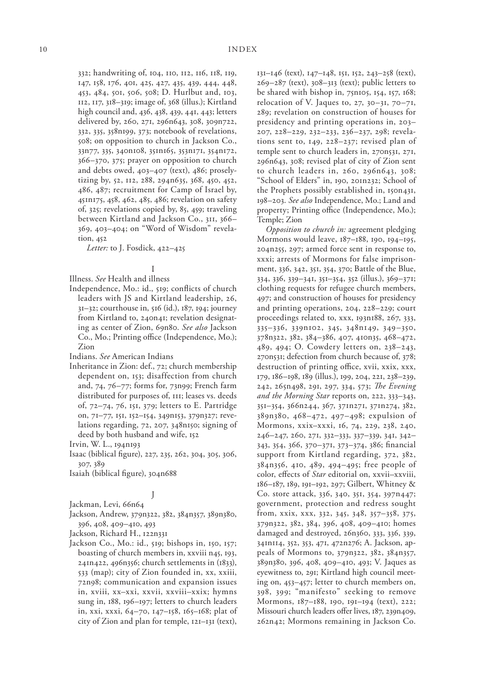332; handwriting of, 104, 110, 112, 116, 118, 119, 147, 158, 176, 401, 425, 427, 435, 439, 444, 448, 453, 484, 501, 506, 508; D. Hurlbut and, 103, 112, 117, 318–319; image of, 368 (illus.); Kirtland high council and, 436, 438, 439, 441, 443; letters delivered by, 260, 271, 296n643, 308, 309n722, 332, 335, 358n199, 373; notebook of revelations, 508; on opposition to church in Jackson Co., 33n77, 335, 340n108, 351n165, 353n171, 354n172, 366–370, 375; prayer on opposition to church and debts owed, 403–407 (text), 486; proselytizing by, 52, 112, 288, 294n635, 368, 450, 452, 486, 487; recruitment for Camp of Israel by, 451n175, 458, 462, 485, 486; revelation on safety of, 325; revelations copied by, 85, 459; traveling between Kirtland and Jackson Co., 311, 366– 369, 403–404; on "Word of Wisdom" revelation, 452

*Letter:* to J. Fosdick, 422–425

### I

Illness. *See* Health and illness

Independence, Mo.: id., 519; conflicts of church leaders with JS and Kirtland leadership, 26, 31–32; courthouse in, 516 (id.), 187, 194; journey from Kirtland to, 240n41; revelation designating as center of Zion, 69n80. *See also* Jackson Co., Mo.; Printing office (Independence, Mo.); Zion

Indians. *See* American Indians

Inheritance in Zion: def., 72; church membership dependent on, 153; disaffection from church and, 74, 76–77; forms for, 73n99; French farm distributed for purposes of, 111; leases vs. deeds of, 72–74, 76, 151, 379; letters to E. Partridge on, 71–77, 151, 152–154, 349n153, 379n327; revelations regarding, 72, 207, 348n150; signing of deed by both husband and wife, 152

Irvin, W. L., 194n193

Isaac (biblical figure), 227, 235, 262, 304, 305, 306, 307, 389

Isaiah (biblical figure), 304n688

### J

Jackman, Levi, 66n64

Jackson, Andrew, 379n322, 382, 384n357, 389n380, 396, 408, 409–410, 493

Jackson, Richard H., 122n331

Jackson Co., Mo.: id., 519; bishops in, 150, 157; boasting of church members in, xxviii n45, 193, 241n422, 496n356; church settlements in (1833), 533 (map); city of Zion founded in, xx, xxiii, 72n98; communication and expansion issues in, xviii, xx–xxi, xxvii, xxviii–xxix; hymns sung in, 188, 196–197; letters to church leaders in, xxi, xxxi, 64–70, 147–158, 165–168; plat of city of Zion and plan for temple, 121–131 (text), 131–146 (text), 147–148, 151, 152, 243–258 (text),  $269-287$  (text),  $308-313$  (text); public letters to be shared with bishop in, 75n105, 154, 157, 168; relocation of V. Jaques to, 27, 30–31, 70–71, 289; revelation on construction of houses for presidency and printing operations in, 203– 207, 228–229, 232–233, 236–237, 298; revelations sent to, 149, 228–237; revised plan of temple sent to church leaders in, 270n531, 271, 296n643, 308; revised plat of city of Zion sent to church leaders in, 260, 296n643, 308; "School of Elders" in, 190, 201n232; School of the Prophets possibly established in, 150n431, 198–203. *See also* Independence, Mo.; Land and property; Printing office (Independence, Mo.); Temple; Zion

*Opposition to church in:* agreement pledging Mormons would leave, 187–188, 190, 194–195, 204n255, 297; armed force sent in response to, xxxi; arrests of Mormons for false imprisonment, 336, 342, 351, 354, 370; Battle of the Blue, 334, 336, 339–341, 351–354, 352 (illus.), 369–371; clothing requests for refugee church members, 497; and construction of houses for presidency and printing operations, 204, 228–229; court proceedings related to, xxx, 193n188, 267, 333, 335–336, 339n102, 345, 348n149, 349–350, 378n322, 382, 384–386, 407, 410n35, 468–472, 489, 494; O. Cowdery letters on, 238–243, 270n531; defection from church because of, 378; destruction of printing office, xvii, xxix, xxx, 179, 186–198, 189 (illus.), 199, 204, 221, 238–239, 242, 265n498, 291, 297, 334, 573; *The Evening and the Morning Star* reports on, 222, 333–343, 351–354, 366n244, 367, 371n271, 371n274, 382, 389n380, 468–472, 497–498; expulsion of Mormons, xxix–xxxi, 16, 74, 229, 238, 240, 246–247, 260, 271, 332–333, 337–339, 341, 342– 343, 354, 366, 370–371, 373–374, 386; financial support from Kirtland regarding, 372, 382, 384n356, 410, 489, 494–495; free people of color, effects of *Star* editorial on, xxvii–xxviii, 186–187, 189, 191–192, 297; Gilbert, Whitney & Co. store attack, 336, 340, 351, 354, 397n447; government, protection and redress sought from, xxix, xxx, 332, 345, 348, 357–358, 375, 379n322, 382, 384, 396, 408, 409–410; homes damaged and destroyed, 26n360, 333, 336, 339, 341n114, 352, 353, 471, 472n276; A. Jackson, appeals of Mormons to, 379n322, 382, 384n357, 389n380, 396, 408, 409–410, 493; V. Jaques as eyewitness to, 291; Kirtland high council meeting on, 453–457; letter to church members on, 398, 399; "manifesto" seeking to remove Mormons, 187–188, 190, 191–194 (text), 222; Missouri church leaders offer lives, 187, 239n409, 262n42; Mormons remaining in Jackson Co.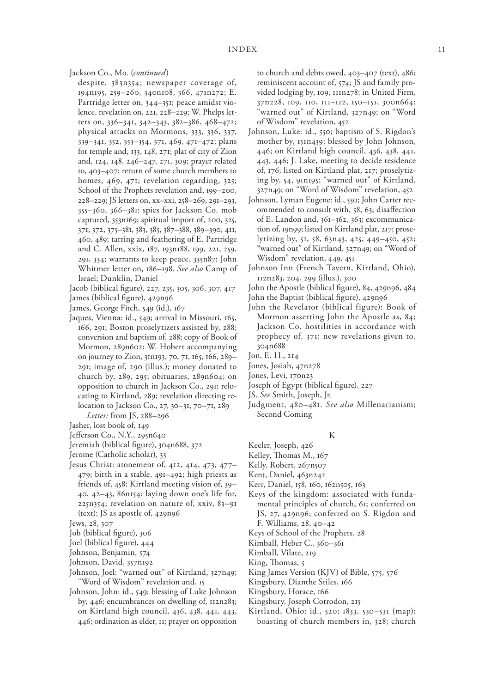Jackson Co., Mo. (*continued*)

despite, 383n354; newspaper coverage of, 194n195, 259–260, 340n108, 366, 471n272; E. Partridge letter on, 344–351; peace amidst violence, revelation on, 221, 228–229; W. Phelps letters on, 336–341, 342–343, 382–386, 468–472; physical attacks on Mormons, 333, 336, 337, 339–341, 352, 353–354, 371, 469, 471–472; plans for temple and, 133, 148, 271; plat of city of Zion and, 124, 148, 246–247, 271, 309; prayer related to, 403–407; return of some church members to homes, 469, 471; revelation regarding, 325; School of the Prophets revelation and, 199–200, 228–229; JS letters on, xx–xxi, 258–269, 291–293, 355–360, 366–381; spies for Jackson Co. mob captured, 353n169; spiritual import of, 200, 325, 371, 372, 375–381, 383, 385, 387–388, 389–390, 411, 460, 489; tarring and feathering of E. Partridge and C. Allen, xxix, 187, 193n188, 199, 221, 259, 291, 334; warrants to keep peace, 335n87; John Whitmer letter on, 186–198. *See also* Camp of Israel; Dunklin, Daniel

Jacob (biblical figure), 227, 235, 305, 306, 307, 417

James (biblical figure), 429n96

James, George Fitch, 549 (id.), 167

Jaques, Vienna: id., 549; arrival in Missouri, 165, 166, 291; Boston proselytizers assisted by, 288; conversion and baptism of, 288; copy of Book of Mormon, 289n602; W. Hobert accompanying on journey to Zion, 31n193, 70, 71, 165, 166, 289– 291; image of, 290 (illus.); money donated to church by, 289, 295; obituaries, 289n604; on opposition to church in Jackson Co., 291; relocating to Kirtland, 289; revelation directing relocation to Jackson Co., 27, 30–31, 70–71, 289

*Letter:* from JS, 288–296

- Jasher, lost book of, 149
- Jefferson Co., N.Y., 295n640
- Jeremiah (biblical figure), 304n688, 372
- Jerome (Catholic scholar), 33
- Jesus Christ: atonement of, 412, 414, 473, 477– 479; birth in a stable, 491–492; high priests as friends of, 458; Kirtland meeting vision of, 39– 40, 42–43, 86n154; laying down one's life for, 225n354; revelation on nature of, xxiv, 83–91 (text); JS as apostle of, 429n96

- Job (biblical figure), 306
- Joel (biblical figure), 444
- Johnson, Benjamin, 574
- Johnson, David, 357n192
- Johnson, Joel: "warned out" of Kirtland, 327n49; "Word of Wisdom" revelation and, 15
- Johnson, John: id., 549; blessing of Luke Johnson by, 446; encumbrances on dwelling of, 112n283; on Kirtland high council, 436, 438, 441, 443, 446; ordination as elder, 11; prayer on opposition

to church and debts owed, 403–407 (text), 486; reminiscent account of, 574; JS and family provided lodging by, 109, 111n278; in United Firm, 37n228, 109, 110, 111–112, 150–151, 300n664; "warned out" of Kirtland, 327n49; on "Word of Wisdom" revelation, 452

- Johnson, Luke: id., 550; baptism of S. Rigdon's mother by, 151n439; blessed by John Johnson, 446; on Kirtland high council, 436, 438, 441, 443, 446; J. Lake, meeting to decide residence of, 176; listed on Kirtland plat, 217; proselytizing by, 54, 91n195; "warned out" of Kirtland, 327n49; on "Word of Wisdom" revelation, 452
- Johnson, Lyman Eugene: id., 550; John Carter recommended to consult with, 58, 63; disaffection of E. Landon and, 361–362, 363; excommunication of, 19n99; listed on Kirtland plat, 217; proselytizing by, 51, 58, 63n43, 425, 449–450, 452; "warned out" of Kirtland, 327n49; on "Word of Wisdom" revelation, 449, 451
- Johnson Inn (French Tavern, Kirtland, Ohio), 112n283, 204, 299 (illus.), 300

John the Apostle (biblical figure), 84, 429n96, 484

- John the Baptist (biblical figure), 429n96
- John the Revelator (biblical figure): Book of Mormon asserting John the Apostle as, 84; Jackson Co. hostilities in accordance with prophecy of, 371; new revelations given to, 304n688
- Jon, E. H., 214
- Jones, Josiah, 47n278
- Jones, Levi, 170n23
- Joseph of Egypt (biblical figure), 227
- JS. *See* Smith, Joseph, Jr.
- Judgment, 480–481. *See also* Millenarianism; Second Coming

### K

- Keeler, Joseph, 426
- Kelley, Thomas M., 167
- Kelly, Robert, 267n507
- Kent, Daniel, 463n242
- Kerr, Daniel, 158, 160, 162n505, 163
- Keys of the kingdom: associated with fundamental principles of church, 61; conferred on JS, 27, 429n96; conferred on S. Rigdon and F. Williams, 28, 40–42
- Keys of School of the Prophets, 28
- Kimball, Heber C., 360–361
- Kimball, Vilate, 219
- King, Thomas, 5
- King James Version (KJV) of Bible, 575, 576
- Kingsbury, Dianthe Stiles, 166
- Kingsbury, Horace, 166
- Kingsbury, Joseph Corrodon, 215
- Kirtland, Ohio: id., 520; 1833, 530–531 (map); boasting of church members in, 328; church

Jews, 28, 307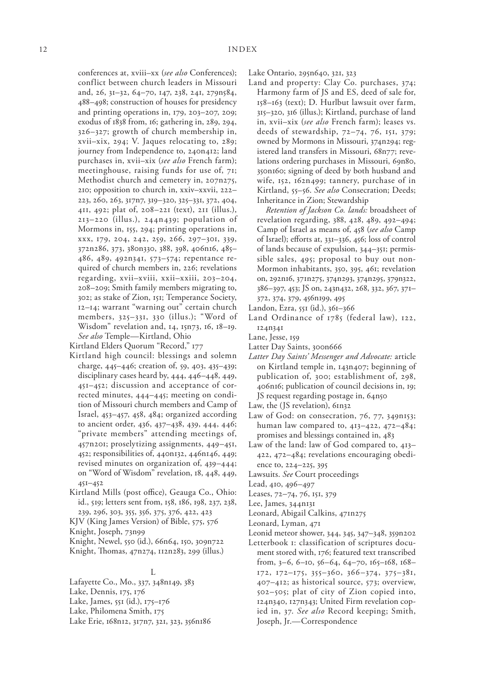conferences at, xviii–xx (*see also* Conferences); conflict between church leaders in Missouri and, 26, 31–32, 64–70, 147, 238, 241, 279n584, 488–498; construction of houses for presidency and printing operations in, 179, 203–207, 209; exodus of 1838 from, 16; gathering in, 289, 294, 326–327; growth of church membership in, xvii–xix, 294; V. Jaques relocating to, 289; journey from Independence to, 240n412; land purchases in, xvii–xix (*see also* French farm); meetinghouse, raising funds for use of, 71; Methodist church and cemetery in, 207n275, 210; opposition to church in, xxiv–xxvii, 222– 223, 260, 263, 317n7, 319–320, 325–331, 372, 404, 411, 492; plat of, 208–221 (text), 211 (illus.), 213–220 (illus.), 244n439; population of Mormons in, 155, 294; printing operations in, xxx, 179, 204, 242, 259, 266, 297–301, 339, 372n286, 373, 380n330, 388, 398, 406n16, 485– 486, 489, 492n341, 573–574; repentance required of church members in, 226; revelations regarding, xvii–xviii, xxii–xxiii, 203–204, 208–209; Smith family members migrating to, 302; as stake of Zion, 151; Temperance Society, 12–14; warrant "warning out" certain church members, 325–331, 330 (illus.); "Word of Wisdom" revelation and, 14, 15n73, 16, 18–19. *See also* Temple—Kirtland, Ohio

Kirtland Elders Quorum "Record," 177

- Kirtland high council: blessings and solemn charge, 445–446; creation of, 59, 403, 435–439; disciplinary cases heard by, 444, 446–448, 449, 451–452; discussion and acceptance of corrected minutes, 444–445; meeting on condition of Missouri church members and Camp of Israel, 453–457, 458, 484; organized according to ancient order, 436, 437–438, 439, 444, 446; "private members" attending meetings of, 457n201; proselytizing assignments, 449–451, 452; responsibilities of, 440n132, 446n146, 449; revised minutes on organization of, 439–444; on "Word of Wisdom" revelation, 18, 448, 449, 451–452
- Kirtland Mills (post office), Geauga Co., Ohio: id., 519; letters sent from, 158, 186, 198, 237, 238, 239, 296, 303, 355, 356, 375, 376, 422, 423
- KJV (King James Version) of Bible, 575, 576

Knight, Joseph, 73n99

Knight, Newel, 550 (id.), 66n64, 150, 309n722

Knight, Thomas, 47n274, 112n283, 299 (illus.)

#### L

Lafayette Co., Mo., 337, 348n149, 383

- Lake, Dennis, 175, 176
- Lake, James, 551 (id.), 175–176
- Lake, Philomena Smith, 175
- Lake Erie, 168n12, 317n7, 321, 323, 356n186

Lake Ontario, 295n640, 321, 323

Land and property: Clay Co. purchases, 374; Harmony farm of JS and ES, deed of sale for, 158–163 (text); D. Hurlbut lawsuit over farm, 315–320, 316 (illus.); Kirtland, purchase of land in, xvii–xix (*see also* French farm); leases vs. deeds of stewardship, 72–74, 76, 151, 379; owned by Mormons in Missouri, 374n294; registered land transfers in Missouri, 68n77; revelations ordering purchases in Missouri, 69n80, 350n160; signing of deed by both husband and wife, 152, 162n499; tannery, purchase of in Kirtland, 55–56. *See also* Consecration; Deeds; Inheritance in Zion; Stewardship

*Retention of Jackson Co. lands:* broadsheet of revelation regarding, 388, 428, 489, 492–494; Camp of Israel as means of, 458 (*see also* Camp of Israel); efforts at, 331–336, 456; loss of control of lands because of expulsion, 344–351; permissible sales, 495; proposal to buy out non-Mormon inhabitants, 350, 395, 461; revelation on, 292n16, 371n275, 374n293, 374n295, 379n322, 386–397, 453; JS on, 243n432, 268, 332, 367, 371– 372, 374, 379, 456n199, 495

- Landon, Ezra, 551 (id.), 361–366
- Land Ordinance of 1785 (federal law), 122, 124n341
- Lane, Jesse, 159
- Latter Day Saints, 300n666
- *Latter Day Saints' Messenger and Advocate:* article on Kirtland temple in, 143n407; beginning of publication of, 300; establishment of, 298, 406n16; publication of council decisions in, 19; JS request regarding postage in, 64n50
- Law, the (JS revelation), 61n32
- Law of God: on consecration, 76, 77, 349n153; human law compared to, 413–422, 472–484; promises and blessings contained in, 483
- Law of the land: law of God compared to, 413– 422, 472–484; revelations encouraging obedience to, 224–225, 395
- Lawsuits. *See* Court proceedings

Lead, 410, 496–497

- Leases, 72–74, 76, 151, 379
- Lee, James, 344n131

Leonard, Abigail Calkins, 471n275

- Leonard, Lyman, 471
- Leonid meteor shower, 344, 345, 347–348, 359n202
- Letterbook 1: classification of scriptures document stored with, 176; featured text transcribed from, 3–6, 6–10, 56–64, 64–70, 165–168, 168– 172, 172–175, 355–360, 366–374, 375–381, 407–412; as historical source, 573; overview, 502–505; plat of city of Zion copied into, 124n340, 127n343; United Firm revelation copied in, 37. *See also* Record keeping; Smith, Joseph, Jr.—Correspondence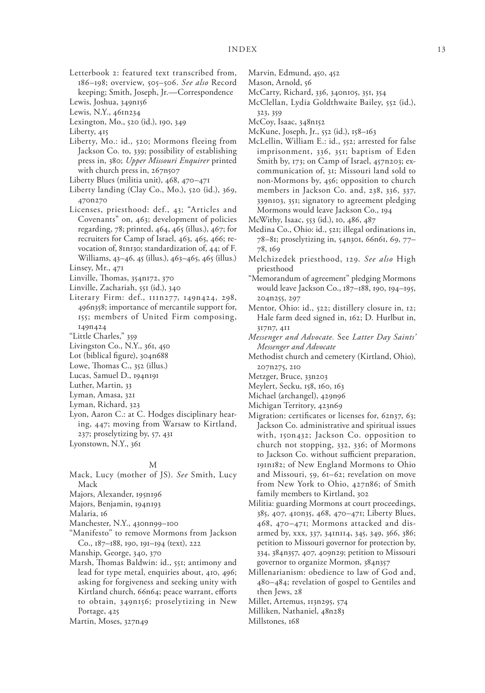Letterbook 2: featured text transcribed from, 186–198; overview, 505–506. *See also* Record keeping; Smith, Joseph, Jr.—Correspondence

Lewis, Joshua, 349n156

Lewis, N.Y., 461n234

Lexington, Mo., 520 (id.), 190, 349

Liberty, 415

- Liberty, Mo.: id., 520; Mormons fleeing from Jackson Co. to, 339; possibility of establishing press in, 380; *Upper Missouri Enquirer* printed with church press in, 267n507
- Liberty Blues (militia unit), 468, 470–471
- Liberty landing (Clay Co., Mo.), 520 (id.), 369, 470n270
- Licenses, priesthood: def., 43; "Articles and Covenants" on, 463; development of policies regarding, 78; printed, 464, 465 (illus.), 467; for recruiters for Camp of Israel, 463, 465, 466; revocation of, 81n130; standardization of, 44; of F. Williams, 43–46, 45 (illus.), 463–465, 465 (illus.)
- Linsey, Mr., 471
- Linville, Thomas, 354n172, 370
- Linville, Zachariah, 551 (id.), 340
- Literary Firm: def., 111n277, 149n424, 298, 496n358; importance of mercantile support for, 155; members of United Firm composing, 149n424
- "Little Charles," 359
- Livingston Co., N.Y., 361, 450
- Lot (biblical figure), 304n688
- Lowe, Thomas C., 352 (illus.)
- Lucas, Samuel D., 194n191
- Luther, Martin, 33
- Lyman, Amasa, 321
- Lyman, Richard, 323
- Lyon, Aaron C.: at C. Hodges disciplinary hearing, 447; moving from Warsaw to Kirtland, 237; proselytizing by, 57, 431
- Lyonstown, N.Y., 361

#### M

- Mack, Lucy (mother of JS). *See* Smith, Lucy Mack
- Majors, Alexander, 195n196
- Majors, Benjamin, 194n193

Malaria, 16

- Manchester, N.Y., 430nn99–100
- "Manifesto" to remove Mormons from Jackson Co., 187–188, 190, 191–194 (text), 222
- Manship, George, 340, 370
- Marsh, Thomas Baldwin: id., 551; antimony and lead for type metal, enquiries about, 410, 496; asking for forgiveness and seeking unity with Kirtland church, 66n64; peace warrant, efforts to obtain, 349n156; proselytizing in New Portage, 425
- Martin, Moses, 327n49
- Marvin, Edmund, 450, 452
- Mason, Arnold, 56
- McCarty, Richard, 336, 340n105, 351, 354
	- McClellan, Lydia Goldthwaite Bailey, 552 (id.), 323, 359
	- McCoy, Isaac, 348n152
	- McKune, Joseph, Jr., 552 (id.), 158–163
	- McLellin, William E.: id., 552; arrested for false imprisonment, 336, 351; baptism of Eden Smith by, 173; on Camp of Israel, 457n203; excommunication of, 31; Missouri land sold to non-Mormons by, 456; opposition to church members in Jackson Co. and, 238, 336, 337, 339n103, 351; signatory to agreement pledging Mormons would leave Jackson Co., 194
	- McWithy, Isaac, 553 (id.), 10, 486, 487
	- Medina Co., Ohio: id., 521; illegal ordinations in, 78–81; proselytizing in, 54n301, 66n61, 69, 77– 78, 169
	- Melchizedek priesthood, 129. *See also* High priesthood
	- "Memorandum of agreement" pledging Mormons would leave Jackson Co., 187–188, 190, 194–195, 204n255, 297
	- Mentor, Ohio: id., 522; distillery closure in, 12; Hale farm deed signed in, 162; D. Hurlbut in, 317n7, 411
	- *Messenger and Advocate.* See *Latter Day Saints' Messenger and Advocate*
	- Methodist church and cemetery (Kirtland, Ohio), 207n275, 210
	- Metzger, Bruce, 33n203
	- Meylert, Secku, 158, 160, 163
	- Michael (archangel), 429n96
	- Michigan Territory, 423n69
	- Migration: certificates or licenses for, 62n37, 63; Jackson Co. administrative and spiritual issues with, 150n432; Jackson Co. opposition to church not stopping, 332, 336; of Mormons to Jackson Co. without sufficient preparation, 191n182; of New England Mormons to Ohio and Missouri, 59, 61–62; revelation on move from New York to Ohio, 427n86; of Smith family members to Kirtland, 302
	- Militia: guarding Mormons at court proceedings, 385, 407, 410n35, 468, 470–471; Liberty Blues, 468, 470–471; Mormons attacked and disarmed by, xxx, 337, 341n114, 345, 349, 366, 386; petition to Missouri governor for protection by, 334, 384n357, 407, 409n29; petition to Missouri governor to organize Mormon, 384n357
	- Millenarianism: obedience to law of God and, 480–484; revelation of gospel to Gentiles and then Jews, 28
	- Millet, Artemus, 113n295, 574
	- Milliken, Nathaniel, 48n283
	- Millstones, 168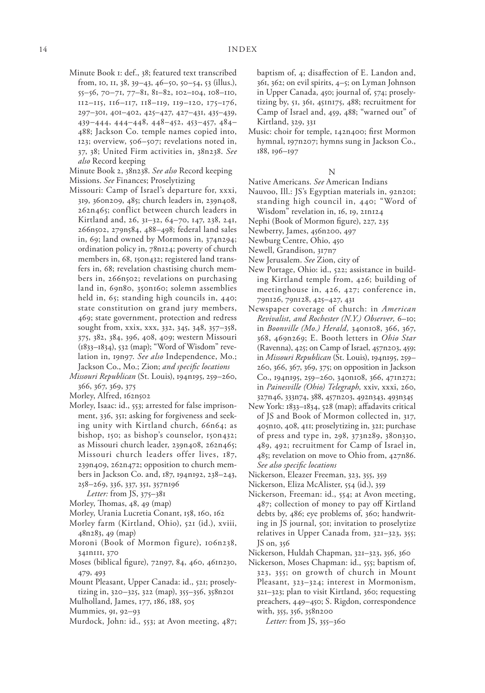Minute Book 1: def., 38; featured text transcribed from, 10, 11, 38, 39–43, 46–50, 50–54, 53 (illus.), 55–56, 70–71, 77–81, 81–82, 102–104, 108–110, 112–115, 116–117, 118–119, 119–120, 175–176, 297–301, 401–402, 425–427, 427–431, 435–439, 439–444, 444–448, 448–452, 453–457, 484– 488; Jackson Co. temple names copied into, 123; overview, 506–507; revelations noted in, 37, 38; United Firm activities in, 38n238. *See also* Record keeping

Minute Book 2, 38n238. *See also* Record keeping Missions. *See* Finances; Proselytizing

- Missouri: Camp of Israel's departure for, xxxi, 319, 360n209, 485; church leaders in, 239n408, 262n465; conflict between church leaders in Kirtland and, 26, 31–32, 64–70, 147, 238, 241, 266n502, 279n584, 488–498; federal land sales in, 69; land owned by Mormons in, 374n294; ordination policy in, 78n124; poverty of church members in, 68, 150n432; registered land transfers in, 68; revelation chastising church members in, 266n502; revelations on purchasing land in, 69n80, 350n160; solemn assemblies held in, 65; standing high councils in, 440; state constitution on grand jury members, 469; state government, protection and redress sought from, xxix, xxx, 332, 345, 348, 357–358, 375, 382, 384, 396, 408, 409; western Missouri (1833–1834), 532 (map); "Word of Wisdom" revelation in, 19n97. *See also* Independence, Mo.; Jackson Co., Mo.; Zion; *and specific locations*
- *Missouri Republican* (St. Louis), 194n195, 259–260, 366, 367, 369, 375
- Morley, Alfred, 162n502
- Morley, Isaac: id., 553; arrested for false imprisonment, 336, 351; asking for forgiveness and seeking unity with Kirtland church, 66n64; as bishop, 150; as bishop's counselor, 150n432; as Missouri church leader, 239n408, 262n465; Missouri church leaders offer lives, 187, 239n409, 262n472; opposition to church members in Jackson Co. and, 187, 194n192, 238–243, 258–269, 336, 337, 351, 357n196

*Letter:* from JS, 375–381

- Morley, Thomas, 48, 49 (map)
- Morley, Urania Lucretia Conant, 158, 160, 162
- Morley farm (Kirtland, Ohio), 521 (id.), xviii, 48n283, 49 (map)
- Moroni (Book of Mormon figure), 106n238, 341n111, 370
- Moses (biblical figure), 72n97, 84, 460, 461n230, 479, 493
- Mount Pleasant, Upper Canada: id., 521; proselytizing in, 320–325, 322 (map), 355–356, 358n201
- Mulholland, James, 177, 186, 188, 505
- Mummies, 91, 92–93
- Murdock, John: id., 553; at Avon meeting, 487;

baptism of, 4; disaffection of E. Landon and, 361, 362; on evil spirits, 4–5; on Lyman Johnson in Upper Canada, 450; journal of, 574; proselytizing by, 51, 361, 451n175, 488; recruitment for Camp of Israel and, 459, 488; "warned out" of Kirtland, 329, 331

Music: choir for temple, 142n400; first Mormon hymnal, 197n207; hymns sung in Jackson Co., 188, 196–197

### N

Native Americans. *See* American Indians

- Nauvoo, Ill.: JS's Egyptian materials in, 92n201; standing high council in, 440; "Word of Wisdom" revelation in, 16, 19, 21n124
- Nephi (Book of Mormon figure), 227, 235
- Newberry, James, 456n200, 497
- Newburg Centre, Ohio, 450
- Newell, Grandison, 317n7
- New Jerusalem. *See* Zion, city of
- New Portage, Ohio: id., 522; assistance in building Kirtland temple from, 426; building of meetinghouse in, 426, 427; conference in, 79n126, 79n128, 425–427, 431
- Newspaper coverage of church: in *American Revivalist, and Rochester (N.Y.) Observer,* 6–10; in *Boonville (Mo.) Herald,* 340n108, 366, 367, 368, 469n269; E. Booth letters in *Ohio Star* (Ravenna), 425; on Camp of Israel, 457n203, 459; in *Missouri Republican* (St. Louis), 194n195, 259– 260, 366, 367, 369, 375; on opposition in Jackson Co., 194n195, 259–260, 340n108, 366, 471n272; in *Painesville (Ohio) Telegraph,* xxiv, xxxi, 260, 327n46, 333n74, 388, 457n203, 492n343, 493n345
- New York: 1833–1834, 528 (map); affadavits critical of JS and Book of Mormon collected in, 317, 405n10, 408, 411; proselytizing in, 321; purchase of press and type in, 298, 373n289, 380n330, 489, 492; recruitment for Camp of Israel in, 485; revelation on move to Ohio from, 427n86. *See also specific locations*
- Nickerson, Eleazer Freeman, 323, 355, 359
- Nickerson, Eliza McAlister, 554 (id.), 359
- Nickerson, Freeman: id., 554; at Avon meeting, 487; collection of money to pay off Kirtland debts by, 486; eye problems of, 360; handwriting in JS journal, 501; invitation to proselytize relatives in Upper Canada from, 321–323, 355; JS on, 356
- Nickerson, Huldah Chapman, 321–323, 356, 360
- Nickerson, Moses Chapman: id., 555; baptism of, 323, 355; on growth of church in Mount Pleasant, 323–324; interest in Mormonism, 321–323; plan to visit Kirtland, 360; requesting preachers, 449–450; S. Rigdon, correspondence with, 355, 356, 358n200

*Letter:* from JS, 355–360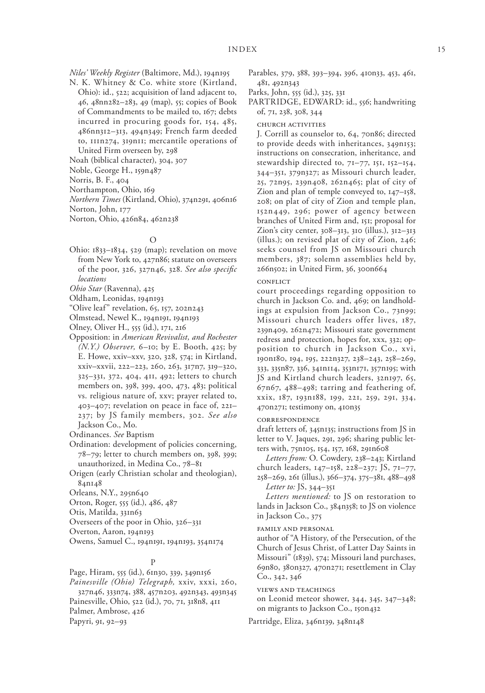*Niles' Weekly Register* (Baltimore, Md.), 194n195

- N. K. Whitney & Co. white store (Kirtland, Ohio): id., 522; acquisition of land adjacent to, 46, 48nn282–283, 49 (map), 55; copies of Book of Commandments to be mailed to, 167; debts incurred in procuring goods for, 154, 485, 486nn312–313, 494n349; French farm deeded to, 111n274, 319n11; mercantile operations of United Firm overseen by, 298
- Noah (biblical character), 304, 307
- Noble, George H., 159n487
- Norris, B. F., 404
- Northampton, Ohio, 169
- *Northern Times* (Kirtland, Ohio), 374n291, 406n16

Norton, John, 177

Norton, Ohio, 426n84, 462n238

### $\Omega$

Ohio: 1833–1834, 529 (map); revelation on move from New York to, 427n86; statute on overseers of the poor, 326, 327n46, 328. *See also specific locations*

*Ohio Star* (Ravenna), 425

- Oldham, Leonidas, 194n193
- "Olive leaf" revelation, 65, 157, 202n243
- Olmstead, Newel K., 194n191, 194n193
- Olney, Oliver H., 555 (id.), 171, 216
- Opposition: in *American Revivalist, and Rochester (N.Y.) Observer,* 6–10; by E. Booth, 425; by E. Howe, xxiv–xxv, 320, 328, 574; in Kirtland, xxiv–xxvii, 222–223, 260, 263, 317n7, 319–320, 325–331, 372, 404, 411, 492; letters to church members on, 398, 399, 400, 473, 483; political vs. religious nature of, xxv; prayer related to, 403–407; revelation on peace in face of, 221– 237; by JS family members, 302. *See also* Jackson Co., Mo.

Ordinances. *See* Baptism

- Ordination: development of policies concerning, 78–79; letter to church members on, 398, 399; unauthorized, in Medina Co., 78–81
- Origen (early Christian scholar and theologian), 84n148
- Orleans, N.Y., 295n640
- Orton, Roger, 555 (id.), 486, 487
- Otis, Matilda, 331n63

Overseers of the poor in Ohio, 326–331

Overton, Aaron, 194n193

Owens, Samuel C., 194n191, 194n193, 354n174

### P

Page, Hiram, 555 (id.), 61n30, 339, 349n156 *Painesville (Ohio) Telegraph,* xxiv, xxxi, 260, 327n46, 333n74, 388, 457n203, 492n343, 493n345 Painesville, Ohio, 522 (id.), 70, 71, 318n8, 411 Palmer, Ambrose, 426

Papyri, 91, 92–93

- Parables, 379, 388, 393–394, 396, 410n33, 453, 461, 481, 492n343
- Parks, John, 555 (id.), 325, 331
- PARTRIDGE, EDWARD: id., 556; handwriting of, 71, 238, 308, 344

church activities

J. Corrill as counselor to, 64, 70n86; directed to provide deeds with inheritances, 349n153; instructions on consecration, inheritance, and stewardship directed to, 71–77, 151, 152–154, 344–351, 379n327; as Missouri church leader, 25, 72n95, 239n408, 262n465; plat of city of Zion and plan of temple conveyed to, 147–158, 208; on plat of city of Zion and temple plan, 152n449, 296; power of agency between branches of United Firm and, 151; proposal for Zion's city center, 308–313, 310 (illus.), 312–313 (illus.); on revised plat of city of Zion, 246; seeks counsel from JS on Missouri church members, 387; solemn assemblies held by, 266n502; in United Firm, 36, 300n664

#### **CONFLICT**

court proceedings regarding opposition to church in Jackson Co. and, 469; on landholdings at expulsion from Jackson Co., 73n99; Missouri church leaders offer lives, 187, 239n409, 262n472; Missouri state government redress and protection, hopes for, xxx, 332; opposition to church in Jackson Co., xvi, 190n180, 194, 195, 222n327, 238–243, 258–269, 333, 335n87, 336, 341n114, 353n171, 357n195; with JS and Kirtland church leaders, 32n197, 65, 67n67, 488–498; tarring and feathering of, xxix, 187, 193n188, 199, 221, 259, 291, 334, 470n271; testimony on, 410n35

### correspondence

draft letters of, 345n135; instructions from JS in letter to V. Jaques, 291, 296; sharing public letters with, 75n105, 154, 157, 168, 291n608

*Letters from:* O. Cowdery, 238–243; Kirtland church leaders, 147–158, 228–237; JS, 71–77, 258–269, 261 (illus.), 366–374, 375–381, 488–498 *Letter to:* JS, 344–351

*Letters mentioned:* to JS on restoration to lands in Jackson Co., 384n358; to JS on violence in Jackson Co., 375

family and personal

author of "A History, of the Persecution, of the Church of Jesus Christ, of Latter Day Saints in Missouri" (1839), 574; Missouri land purchases, 69n80, 380n327, 470n271; resettlement in Clay Co., 342, 346

views and teachings

on Leonid meteor shower, 344, 345, 347–348; on migrants to Jackson Co., 150n432

Partridge, Eliza, 346n139, 348n148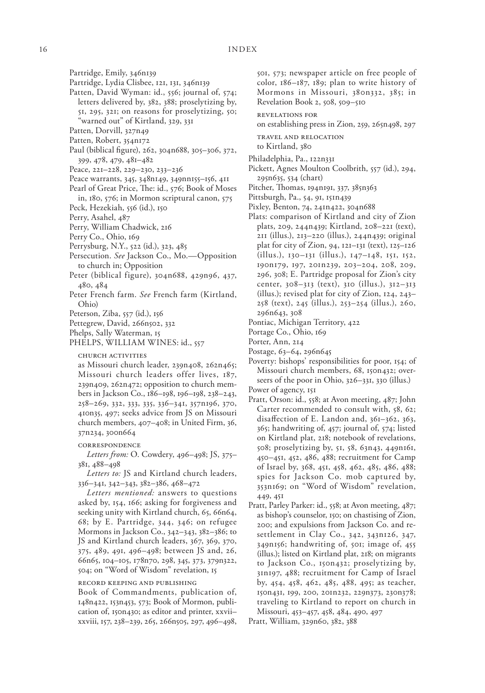- Partridge, Emily, 346n139
- Partridge, Lydia Clisbee, 121, 131, 346n139
- Patten, David Wyman: id., 556; journal of, 574; letters delivered by, 382, 388; proselytizing by, 51, 295, 321; on reasons for proselytizing, 50; warned out" of Kirtland, 329, 331
- Patten, Dorvill, 327n49
- Patten, Robert, 354n172
- Paul (biblical figure), 262, 304n688, 305–306, 372, 399, 478, 479, 481–482
- Peace, 221–228, 229–230, 233–236
- Peace warrants, 345, 348n149, 349nn155–156, 411
- Pearl of Great Price, The: id., 576; Book of Moses in, 180, 576; in Mormon scriptural canon, 575
- Peck, Hezekiah, 556 (id.), 150
- Perry, Asahel, 487
- Perry, William Chadwick, 216
- Perry Co., Ohio, 169
- Perrysburg, N.Y., 522 (id.), 323, 485
- Persecution. *See* Jackson Co., Mo.—Opposition to church in; Opposition
- Peter (biblical figure), 304n688, 429n96, 437, 480, 484
- Peter French farm. *See* French farm (Kirtland, Ohio)
- Peterson, Ziba, 557 (id.), 156
- Pettegrew, David, 266n502, 332
- Phelps, Sally Waterman, 15
- PHELPS, WILLIAM WINES: id., 557

church activities

as Missouri church leader, 239n408, 262n465; Missouri church leaders offer lives, 187, 239n409, 262n472; opposition to church members in Jackson Co., 186–198, 196–198, 238–243, 258–269, 332, 333, 335, 336–341, 357n196, 370, 410n35, 497; seeks advice from JS on Missouri church members, 407–408; in United Firm, 36, 37n234, 300n664

### correspondence

*Letters from:* O. Cowdery, 496–498; JS, 375– 381, 488–498

*Letters to:* JS and Kirtland church leaders, 336–341, 342–343, 382–386, 468–472

*Letters mentioned:* answers to questions asked by, 154, 166; asking for forgiveness and seeking unity with Kirtland church, 65, 66n64, 68; by E. Partridge, 344, 346; on refugee Mormons in Jackson Co., 342–343, 382–386; to JS and Kirtland church leaders, 367, 369, 370, 375, 489, 491, 496–498; between JS and, 26, 66n65, 104–105, 178n70, 298, 345, 373, 379n322, 504; on "Word of Wisdom" revelation, 15

record keeping and publishing

Book of Commandments, publication of, 148n422, 153n453, 573; Book of Mormon, publication of, 150n430; as editor and printer, xxvii– xxviii, 157, 238–239, 265, 266n505, 297, 496–498, 501, 573; newspaper article on free people of color, 186–187, 189; plan to write history of Mormons in Missouri, 380n332, 385; in Revelation Book 2, 508, 509–510

revelations for

on establishing press in Zion, 259, 265n498, 297

travel and relocation to Kirtland, 380

- Philadelphia, Pa., 122n331
- Pickett, Agnes Moulton Coolbrith, 557 (id.), 294, 295n635, 534 (chart)
- Pitcher, Thomas, 194n191, 337, 385n363
- Pittsburgh, Pa., 54, 91, 151n439
- Pixley, Benton, 74, 241n422, 304n688
- Plats: comparison of Kirtland and city of Zion plats, 209, 244n439; Kirtland, 208–221 (text), 211 (illus.), 213–220 (illus.), 244n439; original plat for city of Zion, 94, 121–131 (text), 125–126 (illus.), 130–131 (illus.), 147–148, 151, 152, 190n179, 197, 201n239, 203–204, 208, 209, 296, 308; E. Partridge proposal for Zion's city center, 308–313 (text), 310 (illus.), 312–313 (illus.); revised plat for city of Zion, 124, 243– 258 (text), 245 (illus.), 253–254 (illus.), 260, 296n643, 308
- Pontiac, Michigan Territory, 422
- Portage Co., Ohio, 169
- Porter, Ann, 214
- Postage, 63–64, 296n645
- Poverty: bishops' responsibilities for poor, 154; of Missouri church members, 68, 150n432; overseers of the poor in Ohio, 326–331, 330 (illus.)
- Power of agency, 151
- Pratt, Orson: id., 558; at Avon meeting, 487; John Carter recommended to consult with, 58, 62; disaffection of E. Landon and, 361–362, 363, 365; handwriting of, 457; journal of, 574; listed on Kirtland plat, 218; notebook of revelations, 508; proselytizing by, 51, 58, 63n43, 449n161, 450–451, 452, 486, 488; recruitment for Camp of Israel by, 368, 451, 458, 462, 485, 486, 488; spies for Jackson Co. mob captured by, 353n169; on "Word of Wisdom" revelation, 449, 451
- Pratt, Parley Parker: id., 558; at Avon meeting, 487; as bishop's counselor, 150; on chastising of Zion, 200; and expulsions from Jackson Co. and resettlement in Clay Co., 342, 343n126, 347, 349n156; handwriting of, 501; image of, 455 (illus.); listed on Kirtland plat, 218; on migrants to Jackson Co., 150n432; proselytizing by, 31n197, 488; recruitment for Camp of Israel by, 454, 458, 462, 485, 488, 495; as teacher, 150n431, 199, 200, 201n232, 229n373, 230n378; traveling to Kirtland to report on church in Missouri, 453–457, 458, 484, 490, 497

Pratt, William, 329n60, 382, 388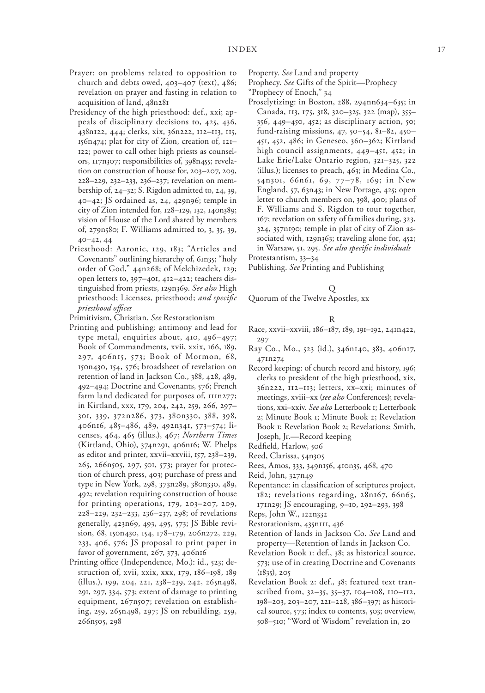- Prayer: on problems related to opposition to church and debts owed, 403–407 (text), 486; revelation on prayer and fasting in relation to acquisition of land, 48n281
- Presidency of the high priesthood: def., xxi; appeals of disciplinary decisions to, 425, 436, 438n122, 444; clerks, xix, 36n222, 112–113, 115, 156n474; plat for city of Zion, creation of, 121– 122; power to call other high priests as counselors, 117n307; responsibilities of, 398n455; revelation on construction of house for, 203–207, 209, 228–229, 232–233, 236–237; revelation on membership of, 24–32; S. Rigdon admitted to, 24, 39, 40–42; JS ordained as, 24, 429n96; temple in city of Zion intended for, 128–129, 132, 140n389; vision of House of the Lord shared by members of, 279n580; F. Williams admitted to, 3, 35, 39, 40–42, 44
- Priesthood: Aaronic, 129, 183; "Articles and Covenants" outlining hierarchy of, 61n35; "holy order of God," 44n268; of Melchizedek, 129; open letters to, 397–401, 412–422; teachers distinguished from priests, 129n369. *See also* High priesthood; Licenses, priesthood; *and specific priesthood offices*

Primitivism, Christian. *See* Restorationism

- Printing and publishing: antimony and lead for type metal, enquiries about, 410, 496–497; Book of Commandments, xvii, xxix, 166, 189, 297, 406n15, 573; Book of Mormon, 68, 150n430, 154, 576; broadsheet of revelation on retention of land in Jackson Co., 388, 428, 489, 492–494; Doctrine and Covenants, 576; French farm land dedicated for purposes of, 111n277; in Kirtland, xxx, 179, 204, 242, 259, 266, 297– 301, 339, 372n286, 373, 380n330, 388, 398, 406n16, 485–486, 489, 492n341, 573–574; licenses, 464, 465 (illus.), 467; *Northern Times* (Kirtland, Ohio), 374n291, 406n16; W. Phelps as editor and printer, xxvii–xxviii, 157, 238–239, 265, 266n505, 297, 501, 573; prayer for protection of church press, 403; purchase of press and type in New York, 298, 373n289, 380n330, 489, 492; revelation requiring construction of house for printing operations, 179, 203–207, 209, 228–229, 232–233, 236–237, 298; of revelations generally, 423n69, 493, 495, 573; JS Bible revision, 68, 150n430, 154, 178–179, 206n272, 229, 233, 406, 576; JS proposal to print paper in favor of government, 267, 373, 406n16
- Printing office (Independence, Mo.): id., 523; destruction of, xvii, xxix, xxx, 179, 186–198, 189 (illus.), 199, 204, 221, 238–239, 242, 265n498, 291, 297, 334, 573; extent of damage to printing equipment, 267n507; revelation on establishing, 259, 265n498, 297; JS on rebuilding, 259, 266n505, 298

Property. *See* Land and property

Prophecy. *See* Gifts of the Spirit—Prophecy

- "Prophecy of Enoch," 34 Proselytizing: in Boston, 288, 294nn634–635; in
- Canada, 113, 175, 318, 320–325, 322 (map), 355– 356, 449–450, 452; as disciplinary action, 50; fund-raising missions, 47, 50–54, 81–82, 450– 451, 452, 486; in Geneseo, 360–362; Kirtland high council assignments, 449–451, 452; in Lake Erie/Lake Ontario region, 321–325, 322 (illus.); licenses to preach, 463; in Medina Co., 54n301, 66n61, 69, 77–78, 169; in New England, 57, 63n43; in New Portage, 425; open letter to church members on, 398, 400; plans of F. Williams and S. Rigdon to tour together, 167; revelation on safety of families during, 323, 324, 357n190; temple in plat of city of Zion associated with, 129n363; traveling alone for, 452;

in Warsaw, 51, 295. *See also specific individuals* Protestantism, 33–34

Publishing. *See* Printing and Publishing

# Q

Quorum of the Twelve Apostles, xx

### R

- Race, xxvii–xxviii, 186–187, 189, 191–192, 241n422, 297
- Ray Co., Mo., 523 (id.), 346n140, 383, 406n17, 471n274
- Record keeping: of church record and history, 196; clerks to president of the high priesthood, xix, 36n222, 112–113; letters, xx–xxi; minutes of meetings, xviii–xx (*see also* Conferences); revelations, xxi–xxiv. *See also* Letterbook 1; Letterbook 2; Minute Book 1; Minute Book 2; Revelation Book 1; Revelation Book 2; Revelations; Smith, Joseph, Jr.—Record keeping
- Redfield, Harlow, 506
- Reed, Clarissa, 54n305
- Rees, Amos, 333, 349n156, 410n35, 468, 470
- Reid, John, 327n49
- Repentance: in classification of scriptures project, 182; revelations regarding, 28n167, 66n65, 171n29; JS encouraging, 9–10, 292–293, 398
- Reps, John W., 122n332
- Restorationism, 435n111, 436
- Retention of lands in Jackson Co. *See* Land and property—Retention of lands in Jackson Co.
- Revelation Book 1: def., 38; as historical source, 573; use of in creating Doctrine and Covenants (1835), 205
- Revelation Book 2: def., 38; featured text transcribed from, 32–35, 35–37, 104–108, 110–112, 198–203, 203–207, 221–228, 386–397; as historical source, 573; index to contents, 503; overview, 508–510; "Word of Wisdom" revelation in, 20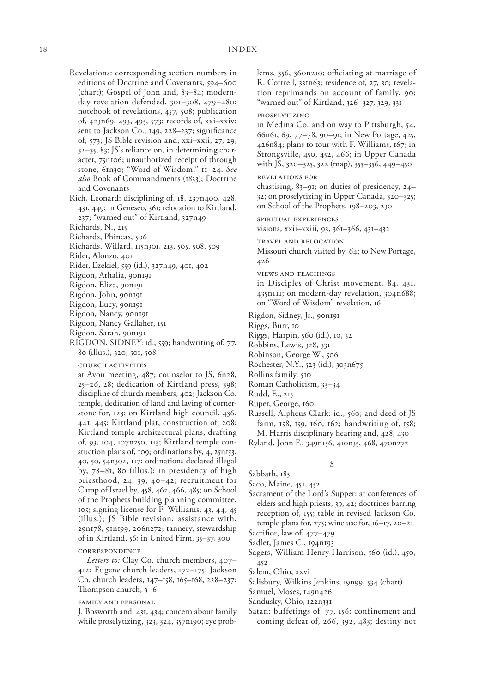Revelations: corresponding section numbers in editions of Doctrine and Covenants, 594–600 (chart); Gospel of John and, 83–84; modernday revelation defended, 301–308, 479–480; notebook of revelations, 457, 508; publication of, 423n69, 493, 495, 573; records of, xxi–xxiv; sent to Jackson Co., 149, 228–237; significance of, 573; JS Bible revision and, xxi–xxii, 27, 29, 32–35, 83; JS's reliance on, in determining character, 75n106; unauthorized receipt of through stone, 61n30; "Word of Wisdom," 11–24. *See also* Book of Commandments (1833); Doctrine and Covenants

Rich, Leonard: disciplining of, 18, 237n400, 428, 431, 449; in Geneseo, 361; relocation to Kirtland,

237; "warned out" of Kirtland, 327n49

- Richards, N., 215
- Richards, Phineas, 506
- Richards, Willard, 115n301, 213, 505, 508, 509
- Rider, Alonzo, 401
- Rider, Ezekiel, 559 (id.), 327n49, 401, 402
- Rigdon, Athalia, 90n191
- Rigdon, Eliza, 90n191
- Rigdon, John, 90n191
- Rigdon, Lucy, 90n191
- Rigdon, Nancy, 90n191
- Rigdon, Nancy Gallaher, 151
- Rigdon, Sarah, 90n191
- RIGDON, SIDNEY: id., 559; handwriting of, 77, 80 (illus.), 320, 501, 508

church activities

at Avon meeting, 487; counselor to JS, 6n28, 25–26, 28; dedication of Kirtland press, 398; discipline of church members, 402; Jackson Co. temple, dedication of land and laying of cornerstone for, 123; on Kirtland high council, 436, 441, 445; Kirtland plat, construction of, 208; Kirtland temple architectural plans, drafting of, 93, 104, 107n250, 113; Kirtland temple constuction plans of, 109; ordinations by, 4, 25n153, 40, 50, 54n302, 117; ordinations declared illegal by, 78–81, 80 (illus.); in presidency of high priesthood, 24, 39, 40–42; recruitment for Camp of Israel by, 458, 462, 466, 485; on School of the Prophets building planning committee, 105; signing license for F. Williams, 43, 44, 45 (illus.); JS Bible revision, assistance with, 29n178, 91n199, 206n272; tannery, stewardship of in Kirtland, 56; in United Firm, 35–37, 300

### correspondence

*Letters to:* Clay Co. church members, 407– 412; Eugene church leaders, 172–175; Jackson Co. church leaders, 147–158, 165–168, 228–237; Thompson church, 3–6

### family and personal

J. Bosworth and, 431, 434; concern about family while proselytizing, 323, 324, 357n190; eye problems, 356, 360n210; officiating at marriage of R. Cottrell, 331n63; residence of, 27, 30; revelation reprimands on account of family, 90; "warned out" of Kirtland, 326–327, 329, 331

### proselytizing

in Medina Co. and on way to Pittsburgh, 54, 66n61, 69, 77–78, 90–91; in New Portage, 425, 426n84; plans to tour with F. Williams, 167; in Strongsville, 450, 452, 466; in Upper Canada with JS, 320–325, 322 (map), 355–356, 449–450

### revelations for

chastising, 83–91; on duties of presidency, 24– 32; on proselytizing in Upper Canada, 320–325; on School of the Prophets, 198–203, 230

spiritual experiences visions, xxii–xxiii, 93, 361–366, 431–432

travel and relocation Missouri church visited by, 64; to New Portage, 426

views and teachings

in Disciples of Christ movement, 84, 431, 435n111; on modern-day revelation, 304n688; on "Word of Wisdom" revelation, 16

Rigdon, Sidney, Jr., 90n191

Riggs, Burr, 10

- Riggs, Harpin, 560 (id.), 10, 52
- Robbins, Lewis, 328, 331

Robinson, George W., 506

- Rochester, N.Y., 523 (id.), 303n675
- Rollins family, 510
- Roman Catholicism, 33–34

Rudd, E., 215

- Ruper, George, 160
- Russell, Alpheus Clark: id., 560; and deed of JS farm, 158, 159, 160, 162; handwriting of, 158; M. Harris disciplinary hearing and, 428, 430

Ryland, John F., 349n156, 410n35, 468, 470n272

### S

Sabbath, 183

Saco, Maine, 451, 452

- Sacrament of the Lord's Supper: at conferences of elders and high priests, 39, 42; doctrines barring reception of, 155; table in revised Jackson Co. temple plans for, 275; wine use for, 16–17, 20–21
- Sacrifice, law of, 477–479

Sadler, James C., 194n193

Sagers, William Henry Harrison, 560 (id.), 450, 452

Salem, Ohio, xxvi

- Salisbury, Wilkins Jenkins, 19n99, 534 (chart)
- Samuel, Moses, 149n426
- Sandusky, Ohio, 122n331
- Satan: buffetings of, 77, 156; confinement and coming defeat of, 266, 392, 483; destiny not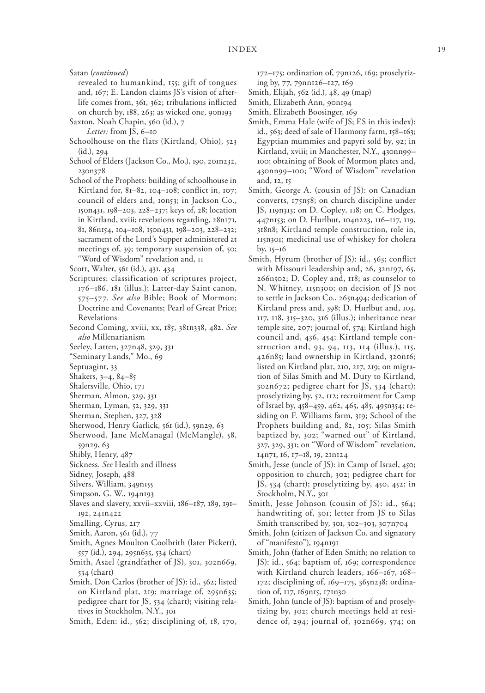Satan (*continued*)

revealed to humankind, 155; gift of tongues and, 167; E. Landon claims JS's vision of afterlife comes from, 361, 362; tribulations inflicted on church by, 188, 263; as wicked one, 90n193

Saxton, Noah Chapin, 560 (id.), 7

*Letter:* from JS, 6–10

- Schoolhouse on the flats (Kirtland, Ohio), 523 (id.), 294
- School of Elders (Jackson Co., Mo.), 190, 201n232, 230n378
- School of the Prophets: building of schoolhouse in Kirtland for, 81–82, 104–108; conflict in, 107; council of elders and, 10n53; in Jackson Co., 150n431, 198–203, 228–237; keys of, 28; location in Kirtland, xviii; revelations regarding, 28n171, 81, 86n154, 104–108, 150n431, 198–203, 228–232; sacrament of the Lord's Supper administered at meetings of, 39; temporary suspension of, 50; "Word of Wisdom" revelation and, 11

Scott, Walter, 561 (id.), 431, 434

- Scriptures: classification of scriptures project, 176–186, 181 (illus.); Latter-day Saint canon, 575–577. *See also* Bible; Book of Mormon; Doctrine and Covenants; Pearl of Great Price; Revelations
- Second Coming, xviii, xx, 185, 381n338, 482. *See also* Millenarianism
- Seeley, Latten, 327n48, 329, 331
- "Seminary Lands," Mo., 69

Septuagint, 33

- Shakers, 3–4, 84–85
- Shalersville, Ohio, 171
- Sherman, Almon, 329, 331
- Sherman, Lyman, 52, 329, 331
- Sherman, Stephen, 327, 328
- Sherwood, Henry Garlick, 561 (id.), 59n29, 63
- Sherwood, Jane McManagal (McMangle), 58, 59n29, 63
- Shibly, Henry, 487
- Sickness. *See* Health and illness
- Sidney, Joseph, 488
- Silvers, William, 349n155
- Simpson, G. W., 194n193
- Slaves and slavery, xxvii–xxviii, 186–187, 189, 191– 192, 241n422
- Smalling, Cyrus, 217
- Smith, Aaron, 561 (id.), 77
- Smith, Agnes Moulton Coolbrith (later Pickett), 557 (id.), 294, 295n635, 534 (chart)
- Smith, Asael (grandfather of JS), 301, 302n669, 534 (chart)
- Smith, Don Carlos (brother of JS): id., 562; listed on Kirtland plat, 219; marriage of, 295n635; pedigree chart for JS, 534 (chart); visiting relatives in Stockholm, N.Y., 301
- Smith, Eden: id., 562; disciplining of, 18, 170,

172–175; ordination of, 79n126, 169; proselytizing by, 77, 79nn126–127, 169

- Smith, Elijah, 562 (id.), 48, 49 (map)
- Smith, Elizabeth Ann, 90n194
- Smith, Elizabeth Boosinger, 169
- Smith, Emma Hale (wife of JS; ES in this index): id., 563; deed of sale of Harmony farm, 158–163; Egyptian mummies and papyri sold by, 92; in Kirtland, xviii; in Manchester, N.Y., 430nn99– 100; obtaining of Book of Mormon plates and, 430nn99–100; "Word of Wisdom" revelation and, 12, 15
- Smith, George A. (cousin of JS): on Canadian converts, 175n58; on church discipline under JS, 119n313; on D. Copley, 118; on C. Hodges, 447n153; on D. Hurlbut, 104n223, 116–117, 119, 318n8; Kirtland temple construction, role in, 115n301; medicinal use of whiskey for cholera by, 15–16
- Smith, Hyrum (brother of JS): id., 563; conflict with Missouri leadership and, 26, 32n197, 65, 266n502; D. Copley and, 118; as counselor to N. Whitney, 115n300; on decision of JS not to settle in Jackson Co., 265n494; dedication of Kirtland press and, 398; D. Hurlbut and, 103, 117, 118, 315–320, 316 (illus.); inheritance near temple site, 207; journal of, 574; Kirtland high council and, 436, 454; Kirtland temple construction and, 93, 94, 113, 114 (illus.), 115, 426n85; land ownership in Kirtland, 320n16; listed on Kirtland plat, 210, 217, 219; on migration of Silas Smith and M. Duty to Kirtland, 302n672; pedigree chart for JS, 534 (chart); proselytizing by, 52, 112; recruitment for Camp of Israel by, 458–459, 462, 465, 485, 495n354; residing on F. Williams farm, 319; School of the Prophets building and, 82, 105; Silas Smith baptized by, 302; "warned out" of Kirtland, 327, 329, 331; on "Word of Wisdom" revelation, 14n71, 16, 17–18, 19, 21n124
- Smith, Jesse (uncle of JS): in Camp of Israel, 450; opposition to church, 302; pedigree chart for JS, 534 (chart); proselytizing by, 450, 452; in Stockholm, N.Y., 301
- Smith, Jesse Johnson (cousin of JS): id., 564; handwriting of, 301; letter from JS to Silas Smith transcribed by, 301, 302–303, 307n704
- Smith, John (citizen of Jackson Co. and signatory of "manifesto"), 194n191
- Smith, John (father of Eden Smith; no relation to JS): id., 564; baptism of, 169; correspondence with Kirtland church leaders, 166–167, 168– 172; disciplining of, 169–175, 365n238; ordination of, 117, 169n15, 171n30
- Smith, John (uncle of JS): baptism of and proselytizing by, 302; church meetings held at residence of, 294; journal of, 302n669, 574; on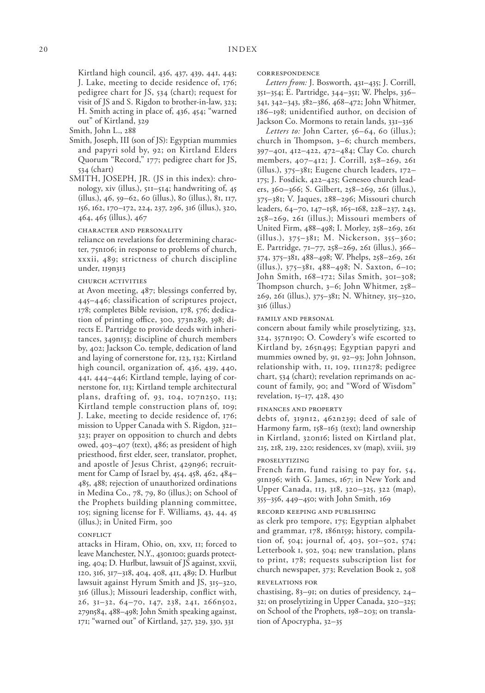Kirtland high council, 436, 437, 439, 441, 443; J. Lake, meeting to decide residence of, 176; pedigree chart for JS, 534 (chart); request for visit of JS and S. Rigdon to brother-in-law, 323; H. Smith acting in place of, 436, 454; "warned out" of Kirtland, 329

Smith, John L., 288

- Smith, Joseph, III (son of JS): Egyptian mummies and papyri sold by, 92; on Kirtland Elders Quorum "Record," 177; pedigree chart for JS, 534 (chart)
- SMITH, JOSEPH, JR. (JS in this index): chronology, xiv (illus.), 511–514; handwriting of, 45 (illus.), 46, 59–62, 60 (illus.), 80 (illus.), 81, 117, 156, 162, 170–172, 224, 237, 296, 316 (illus.), 320, 464, 465 (illus.), 467

character and personality

reliance on revelations for determining character, 75n106; in response to problems of church, xxxii, 489; strictness of church discipline under, 119n313

church activities

at Avon meeting, 487; blessings conferred by, 445–446; classification of scriptures project, 178; completes Bible revision, 178, 576; dedication of printing office, 300, 373n289, 398; directs E. Partridge to provide deeds with inheritances, 349n153; discipline of church members by, 402; Jackson Co. temple, dedication of land and laying of cornerstone for, 123, 132; Kirtland high council, organization of, 436, 439, 440, 441, 444–446; Kirtland temple, laying of cornerstone for, 113; Kirtland temple architectural plans, drafting of, 93, 104, 107n250, 113; Kirtland temple construction plans of, 109; J. Lake, meeting to decide residence of, 176; mission to Upper Canada with S. Rigdon, 321– 323; prayer on opposition to church and debts owed, 403–407 (text), 486; as president of high priesthood, first elder, seer, translator, prophet, and apostle of Jesus Christ, 429n96; recruitment for Camp of Israel by, 454, 458, 462, 484– 485, 488; rejection of unauthorized ordinations in Medina Co., 78, 79, 80 (illus.); on School of the Prophets building planning committee, 105; signing license for F. Williams, 43, 44, 45 (illus.); in United Firm, 300

#### **CONFLICT**

attacks in Hiram, Ohio, on, xxv, 11; forced to leave Manchester, N.Y., 430n100; guards protecting, 404; D. Hurlbut, lawsuit of JS against, xxvii, 120, 316, 317–318, 404, 408, 411, 489; D. Hurlbut lawsuit against Hyrum Smith and JS, 315–320, 316 (illus.); Missouri leadership, conflict with, 26, 31–32, 64–70, 147, 238, 241, 266n502, 279n584, 488–498; John Smith speaking against, 171; "warned out" of Kirtland, 327, 329, 330, 331

correspondence

*Letters from:* J. Bosworth, 431–435; J. Corrill, 351–354; E. Partridge, 344–351; W. Phelps, 336– 341, 342–343, 382–386, 468–472; John Whitmer, 186–198; unidentified author, on decision of Jackson Co. Mormons to retain lands, 331–336

*Letters to:* John Carter, 56–64, 60 (illus.); church in Thompson, 3–6; church members, 397–401, 412–422, 472–484; Clay Co. church members, 407–412; J. Corrill, 258–269, 261 (illus.), 375–381; Eugene church leaders, 172– 175; J. Fosdick, 422–425; Geneseo church leaders, 360–366; S. Gilbert, 258–269, 261 (illus.), 375–381; V. Jaques, 288–296; Missouri church leaders, 64–70, 147–158, 165–168, 228–237, 243, 258–269, 261 (illus.); Missouri members of United Firm, 488–498; I. Morley, 258–269, 261 (illus.), 375–381; M. Nickerson, 355–360; E. Partridge, 71–77, 258–269, 261 (illus.), 366– 374, 375–381, 488–498; W. Phelps, 258–269, 261 (illus.), 375–381, 488–498; N. Saxton, 6–10; John Smith, 168–172; Silas Smith, 301–308; Thompson church, 3–6; John Whitmer, 258– 269, 261 (illus.), 375–381; N. Whitney, 315–320, 316 (illus.)

### family and personal

concern about family while proselytizing, 323, 324, 357n190; O. Cowdery's wife escorted to Kirtland by, 265n495; Egyptian papyri and mummies owned by, 91, 92–93; John Johnson, relationship with, 11, 109, 111n278; pedigree chart, 534 (chart); revelation reprimands on account of family, 90; and "Word of Wisdom" revelation, 15–17, 428, 430

### finances and property

debts of, 319n12, 462n239; deed of sale of Harmony farm, 158–163 (text); land ownership in Kirtland, 320n16; listed on Kirtland plat, 215, 218, 219, 220; residences, xv (map), xviii, 319

### proselytizing

French farm, fund raising to pay for, 54, 91n196; with G. James, 167; in New York and Upper Canada, 113, 318, 320–325, 322 (map), 355–356, 449–450; with John Smith, 169

### record keeping and publishing

as clerk pro tempore, 175; Egyptian alphabet and grammar, 178, 186n159; history, compilation of, 504; journal of, 403, 501–502, 574; Letterbook 1, 502, 504; new translation, plans to print, 178; requests subscription list for church newspaper, 373; Revelation Book 2, 508 revelations for

chastising, 83–91; on duties of presidency, 24– 32; on proselytizing in Upper Canada, 320–325; on School of the Prophets, 198–203; on translation of Apocrypha, 32–35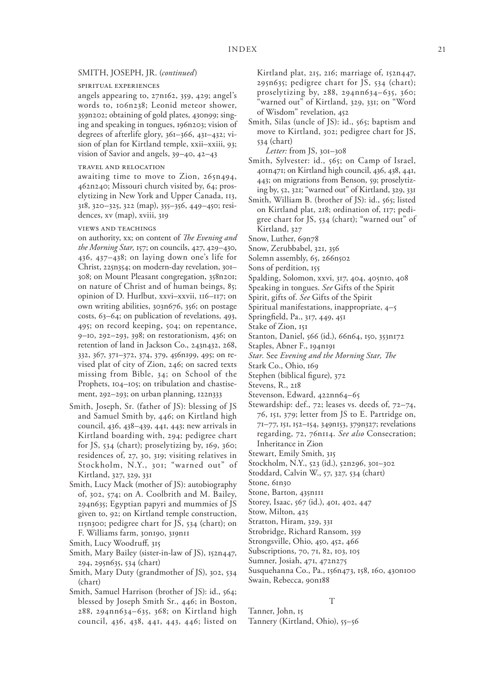### SMITH, JOSEPH, JR. (*continued*)

### spiritual experiences

angels appearing to, 27n162, 359, 429; angel's words to, 106n238; Leonid meteor shower, 359n202; obtaining of gold plates, 430n99; singing and speaking in tongues, 196n203; vision of degrees of afterlife glory, 361–366, 431–432; vision of plan for Kirtland temple, xxii–xxiii, 93; vision of Savior and angels, 39–40, 42–43

### travel and relocation

awaiting time to move to Zion, 265n494, 462n240; Missouri church visited by, 64; proselytizing in New York and Upper Canada, 113, 318, 320–325, 322 (map), 355–356, 449–450; residences, xv (map), xviii, 319

#### views and teachings

on authority, xx; on content of *The Evening and the Morning Star,* 157; on councils, 427, 429–430, 436, 437–438; on laying down one's life for Christ, 225n354; on modern-day revelation, 301– 308; on Mount Pleasant congregation, 358n201; on nature of Christ and of human beings, 85; opinion of D. Hurlbut, xxvi–xxvii, 116–117; on own writing abilities, 303n676, 356; on postage costs, 63–64; on publication of revelations, 493, 495; on record keeping, 504; on repentance, 9–10, 292–293, 398; on restorationism, 436; on retention of land in Jackson Co., 243n432, 268, 332, 367, 371–372, 374, 379, 456n199, 495; on revised plat of city of Zion, 246; on sacred texts missing from Bible, 34; on School of the Prophets, 104–105; on tribulation and chastisement, 292–293; on urban planning, 122n333

Smith, Joseph, Sr. (father of JS): blessing of JS and Samuel Smith by, 446; on Kirtland high council, 436, 438–439, 441, 443; new arrivals in Kirtland boarding with, 294; pedigree chart for JS, 534 (chart); proselytizing by, 169, 360; residences of, 27, 30, 319; visiting relatives in Stockholm, N.Y., 301; "warned out" of Kirtland, 327, 329, 331

Smith, Lucy Mack (mother of JS): autobiography of, 302, 574; on A. Coolbrith and M. Bailey, 294n635; Egyptian papyri and mummies of JS given to, 92; on Kirtland temple construction, 115n300; pedigree chart for JS, 534 (chart); on F. Williams farm, 30n190, 319n11

- Smith, Mary Bailey (sister-in-law of JS), 152n447, 294, 295n635, 534 (chart)
- Smith, Mary Duty (grandmother of JS), 302, 534 (chart)
- Smith, Samuel Harrison (brother of JS): id., 564; blessed by Joseph Smith Sr., 446; in Boston, 288, 294nn634–635, 368; on Kirtland high council, 436, 438, 441, 443, 446; listed on

Kirtland plat, 215, 216; marriage of, 152n447, 295n635; pedigree chart for JS, 534 (chart); proselytizing by, 288, 294nn634–635, 360; warned out" of Kirtland, 329, 331; on "Word of Wisdom" revelation, 452

Smith, Silas (uncle of JS): id., 565; baptism and move to Kirtland, 302; pedigree chart for JS, 534 (chart)

*Letter:* from JS, 301–308

- Smith, Sylvester: id., 565; on Camp of Israel, 401n471; on Kirtland high council, 436, 438, 441, 443; on migrations from Benson, 59; proselytizing by, 52, 321; "warned out" of Kirtland, 329, 331
- Smith, William B. (brother of JS): id., 565; listed on Kirtland plat, 218; ordination of, 117; pedigree chart for JS, 534 (chart); "warned out" of Kirtland, 327

Snow, Luther, 69n78

- Snow, Zerubbabel, 321, 356
- Solemn assembly, 65, 266n502

Sons of perdition, 155

- Spalding, Solomon, xxvi, 317, 404, 405n10, 408
- Speaking in tongues. *See* Gifts of the Spirit
- Spirit, gifts of. *See* Gifts of the Spirit

Spiritual manifestations, inappropriate, 4–5

- Springfield, Pa., 317, 449, 451
- Stake of Zion, 151
- Stanton, Daniel, 566 (id.), 66n64, 150, 353n172
- Staples, Abner F., 194n191
- *Star.* See *Evening and the Morning Star, The*
- Stark Co., Ohio, 169

Stephen (biblical figure), 372

- Stevens, R., 218
- Stevenson, Edward, 422nn64–65
- Stewardship: def., 72; leases vs. deeds of, 72–74, 76, 151, 379; letter from JS to E. Partridge on, 71–77, 151, 152–154, 349n153, 379n327; revelations regarding, 72, 76n114. *See also* Consecration; Inheritance in Zion

Stewart, Emily Smith, 315

- Stockholm, N.Y., 523 (id.), 52n296, 301–302
- Stoddard, Calvin W., 57, 327, 534 (chart)

Stone, 61n30

- Stone, Barton, 435n111
- Storey, Isaac, 567 (id.), 401, 402, 447
- Stow, Milton, 425
- Stratton, Hiram, 329, 331
- Strobridge, Richard Ransom, 359
- Strongsville, Ohio, 450, 452, 466
- Subscriptions, 70, 71, 82, 103, 105
- Sumner, Josiah, 471, 472n275
- Susquehanna Co., Pa., 156n473, 158, 160, 430n100 Swain, Rebecca, 90n188

#### T

Tanner, John, 15

Tannery (Kirtland, Ohio), 55–56

Smith, Lucy Woodruff, 315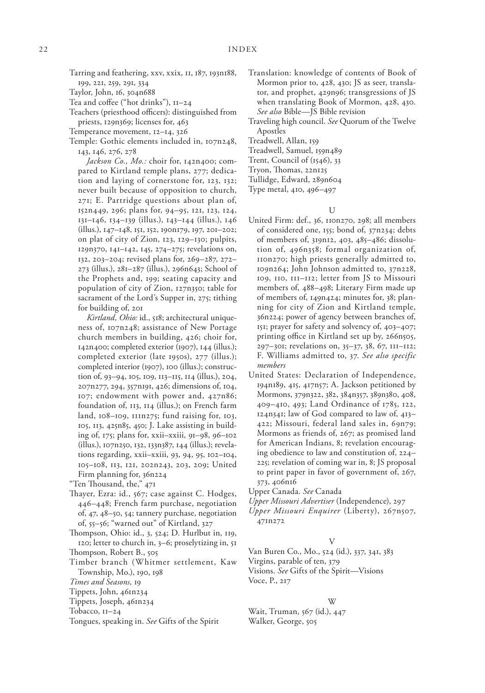Tarring and feathering, xxv, xxix, 11, 187, 193n188, 199, 221, 259, 291, 334

Taylor, John, 16, 304n688

Tea and coffee ("hot drinks"), 11–24

Teachers (priesthood officers): distinguished from priests, 129n369; licenses for, 463

Temperance movement, 12–14, 326

Temple: Gothic elements included in, 107n248, 143, 146, 276, 278

*Jackson Co., Mo.:* choir for, 142n400; compared to Kirtland temple plans, 277; dedication and laying of cornerstone for, 123, 132; never built because of opposition to church, 271; E. Partridge questions about plan of, 152n449, 296; plans for, 94–95, 121, 123, 124, 131–146, 134–139 (illus.), 143–144 (illus.), 146 (illus.), 147–148, 151, 152, 190n179, 197, 201–202; on plat of city of Zion, 123, 129–130; pulpits, 129n370, 141–142, 145, 274–275; revelations on, 132, 203–204; revised plans for, 269–287, 272– 273 (illus.), 281–287 (illus.), 296n643; School of the Prophets and, 199; seating capacity and population of city of Zion, 127n350; table for sacrament of the Lord's Supper in, 275; tithing for building of, 201

*Kirtland, Ohio:* id., 518; architectural uniqueness of, 107n248; assistance of New Portage church members in building, 426; choir for, 142n400; completed exterior (1907), 144 (illus.); completed exterior (late 1950s), 277 (illus.); completed interior (1907), 100 (illus.); construction of, 93–94, 105, 109, 113–115, 114 (illus.), 204, 207n277, 294, 357n191, 426; dimensions of, 104, 107; endowment with power and, 427n86; foundation of, 113, 114 (illus.); on French farm land, 108–109, 111n275; fund raising for, 103, 105, 113, 425n85, 450; J. Lake assisting in building of, 175; plans for, xxii–xxiii, 91–98, 96–102 (illus.), 107n250, 132, 133n387, 144 (illus.); revelations regarding, xxii–xxiii, 93, 94, 95, 102–104, 105–108, 113, 121, 202n243, 203, 209; United Firm planning for, 36n224

"Ten Thousand, the," 471

- Thayer, Ezra: id., 567; case against C. Hodges, 446–448; French farm purchase, negotiation of, 47, 48–50, 54; tannery purchase, negotiation of, 55–56; "warned out" of Kirtland, 327
- Thompson, Ohio: id., 3, 524; D. Hurlbut in, 119, 120; letter to church in, 3–6; proselytizing in, 51 Thompson, Robert B., 505
- 
- Timber branch (Whitmer settlement, Kaw Township, Mo.), 190, 198

*Times and Seasons,* 19

- Tippets, John, 461n234
- Tippets, Joseph, 461n234
- Tobacco, 11–24

Tongues, speaking in. *See* Gifts of the Spirit

- Translation: knowledge of contents of Book of Mormon prior to, 428, 430; JS as seer, translator, and prophet, 429n96; transgressions of JS when translating Book of Mormon, 428, 430. *See also* Bible—JS Bible revision
- Traveling high council. *See* Quorum of the Twelve Apostles

Treadwell, Allan, 159

Treadwell, Samuel, 159n489

Trent, Council of (1546), 33

Tryon, Thomas, 22n125

Tullidge, Edward, 289n604

Type metal, 410, 496–497

#### U

- United Firm: def., 36, 110n270, 298; all members of considered one, 155; bond of, 37n234; debts of members of, 319n12, 403, 485–486; dissolution of, 496n358; formal organization of, 110n270; high priests generally admitted to, 109n264; John Johnson admitted to, 37n228, 109, 110, 111–112; letter from JS to Missouri members of, 488–498; Literary Firm made up of members of, 149n424; minutes for, 38; planning for city of Zion and Kirtland temple, 36n224; power of agency between branches of, 151; prayer for safety and solvency of, 403–407; printing office in Kirtland set up by, 266n505, 297–301; revelations on, 35–37, 38, 67, 111–112; F. Williams admitted to, 37. *See also specific members*
- United States: Declaration of Independence, 194n189, 415, 417n57; A. Jackson petitioned by Mormons, 379n322, 382, 384n357, 389n380, 408, 409–410, 493; Land Ordinance of 1785, 122, 124n341; law of God compared to law of, 413– 422; Missouri, federal land sales in, 69n79; Mormons as friends of, 267; as promised land for American Indians, 8; revelation encouraging obedience to law and constitution of, 224– 225; revelation of coming war in, 8; JS proposal to print paper in favor of government of, 267, 373, 406n16

Upper Canada. *See* Canada

- *Upper Missouri Advertiser* (Independence), 297
- *Upper Missouri Enquirer* (Liberty), 267n507, 471n272

### V

Van Buren Co., Mo., 524 (id.), 337, 341, 383

Virgins, parable of ten, 379

Visions. *See* Gifts of the Spirit—Visions Voce, P., 217

### W

Wait, Truman, 567 (id.), 447 Walker, George, 505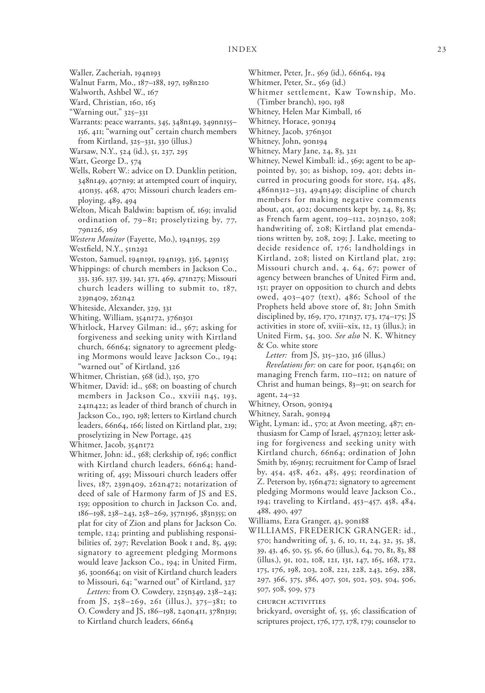- Waller, Zacheriah, 194n193
- Walnut Farm, Mo., 187–188, 197, 198n210
- Walworth, Ashbel W., 167
- Ward, Christian, 160, 163
- "Warning out," 325–331
- Warrants: peace warrants, 345, 348n149, 349nn155– 156, 411; "warning out" certain church members from Kirtland, 325–331, 330 (illus.)
- Warsaw, N.Y., 524 (id.), 51, 237, 295
- Watt, George D., 574
- Wells, Robert W.: advice on D. Dunklin petition, 348n149, 407n19; at attempted court of inquiry, 410n35, 468, 470; Missouri church leaders employing, 489, 494
- Welton, Micah Baldwin: baptism of, 169; invalid ordination of, 79–81; proselytizing by, 77, 79n126, 169
- *Western Monitor* (Fayette, Mo.), 194n195, 259
- Westfield, N.Y., 51n292
- Weston, Samuel, 194n191, 194n193, 336, 349n155
- Whippings: of church members in Jackson Co., 333, 336, 337, 339, 341, 371, 469, 471n275; Missouri church leaders willing to submit to, 187, 239n409, 262n42
- Whiteside, Alexander, 329, 331
- Whiting, William, 354n172, 376n301
- Whitlock, Harvey Gilman: id., 567; asking for forgiveness and seeking unity with Kirtland church, 66n64; signatory to agreement pledging Mormons would leave Jackson Co., 194; "warned out" of Kirtland, 326
- Whitmer, Christian, 568 (id.), 150, 370
- Whitmer, David: id., 568; on boasting of church members in Jackson Co., xxviii n45, 193, 241n422; as leader of third branch of church in Jackson Co., 190, 198; letters to Kirtland church leaders, 66n64, 166; listed on Kirtland plat, 219; proselytizing in New Portage, 425
- Whitmer, Jacob, 354n172
- Whitmer, John: id., 568; clerkship of, 196; conflict with Kirtland church leaders, 66n64; handwriting of, 459; Missouri church leaders offer lives, 187, 239n409, 262n472; notarization of deed of sale of Harmony farm of JS and ES, 159; opposition to church in Jackson Co. and, 186–198, 238–243, 258–269, 357n196, 383n355; on plat for city of Zion and plans for Jackson Co. temple, 124; printing and publishing responsibilities of, 297; Revelation Book 1 and, 85, 459; signatory to agreement pledging Mormons would leave Jackson Co., 194; in United Firm, 36, 300n664; on visit of Kirtland church leaders to Missouri, 64; "warned out" of Kirtland, 327
	- *Letters:* from O. Cowdery, 225n349, 238–243; from JS, 258–269, 261 (illus.), 375–381; to O. Cowdery and JS, 186–198, 240n411, 378n319; to Kirtland church leaders, 66n64
- Whitmer, Peter, Jr., 569 (id.), 66n64, 194
- Whitmer, Peter, Sr., 569 (id.)
- Whitmer settlement, Kaw Township, Mo. (Timber branch), 190, 198
- Whitney, Helen Mar Kimball, 16
- Whitney, Horace, 90n194
- Whitney, Jacob, 376n301
- Whitney, John, 90n194
- Whitney, Mary Jane, 24, 83, 321
- Whitney, Newel Kimball: id., 569; agent to be appointed by, 30; as bishop, 109, 401; debts incurred in procuring goods for store, 154, 485, 486nn312–313, 494n349; discipline of church members for making negative comments about, 401, 402; documents kept by, 24, 83, 85; as French farm agent, 109–112, 203n250, 208; handwriting of, 208; Kirtland plat emendations written by, 208, 209; J. Lake, meeting to decide residence of, 176; landholdings in Kirtland, 208; listed on Kirtland plat, 219; Missouri church and, 4, 64, 67; power of agency between branches of United Firm and, 151; prayer on opposition to church and debts owed, 403–407 (text), 486; School of the Prophets held above store of, 81; John Smith disciplined by, 169, 170, 171n37, 173, 174–175; JS activities in store of, xviii–xix, 12, 13 (illus.); in United Firm, 54, 300. *See also* N. K. Whitney & Co. white store
	- *Letter:* from JS, 315–320, 316 (illus.)

*Revelations for:* on care for poor, 154n461; on managing French farm, 110–112; on nature of Christ and human beings, 83–91; on search for agent, 24–32

- Whitney, Orson, 90n194
- Whitney, Sarah, 90n194
- 
- Wight, Lyman: id., 570; at Avon meeting, 487; enthusiasm for Camp of Israel, 457n203; letter asking for forgiveness and seeking unity with Kirtland church, 66n64; ordination of John Smith by, 169n15; recruitment for Camp of Israel by, 454, 458, 462, 485, 495; reordination of Z. Peterson by, 156n472; signatory to agreement pledging Mormons would leave Jackson Co., 194; traveling to Kirtland, 453–457, 458, 484, 488, 490, 497
- Williams, Ezra Granger, 43, 90n188
- WILLIAMS, FREDERICK GRANGER: id., 570; handwriting of, 3, 6, 10, 11, 24, 32, 35, 38, 39, 43, 46, 50, 55, 56, 60 (illus.), 64, 70, 81, 83, 88 (illus.), 91, 102, 108, 121, 131, 147, 165, 168, 172, 175, 176, 198, 203, 208, 221, 228, 243, 269, 288, 297, 366, 375, 386, 407, 501, 502, 503, 504, 506, 507, 508, 509, 573

church activities

brickyard, oversight of, 55, 56; classification of scriptures project, 176, 177, 178, 179; counselor to